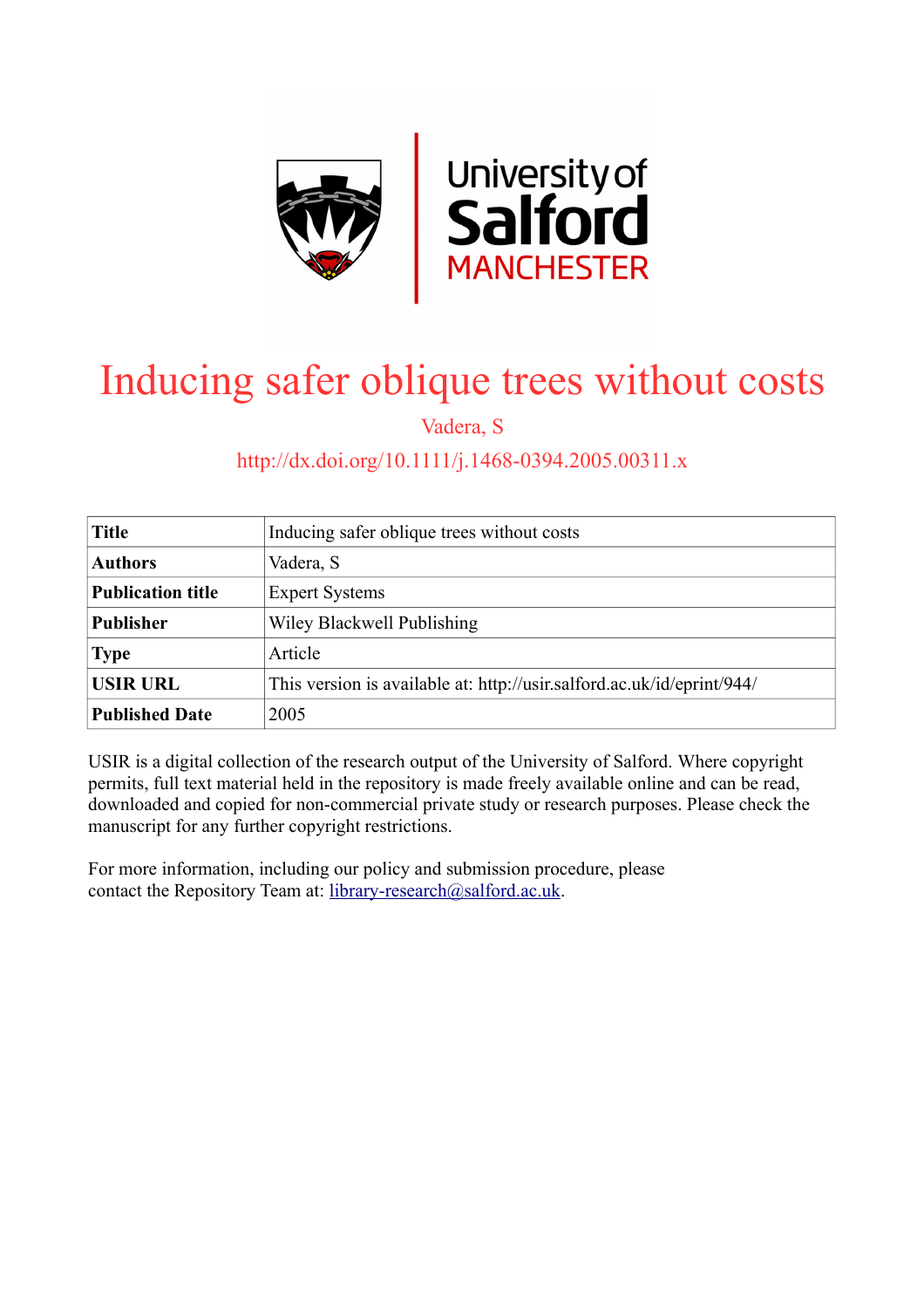

# Inducing safer oblique trees without costs

Vadera, S

## http://dx.doi.org/10.1111/j.1468-0394.2005.00311.x

| <b>Title</b>             | Inducing safer oblique trees without costs                             |
|--------------------------|------------------------------------------------------------------------|
| <b>Authors</b>           | Vadera, S                                                              |
| <b>Publication title</b> | <b>Expert Systems</b>                                                  |
| <b>Publisher</b>         | Wiley Blackwell Publishing                                             |
| <b>Type</b>              | Article                                                                |
| <b>USIR URL</b>          | This version is available at: http://usir.salford.ac.uk/id/eprint/944/ |
| <b>Published Date</b>    | 2005                                                                   |

USIR is a digital collection of the research output of the University of Salford. Where copyright permits, full text material held in the repository is made freely available online and can be read, downloaded and copied for non-commercial private study or research purposes. Please check the manuscript for any further copyright restrictions.

For more information, including our policy and submission procedure, please contact the Repository Team at: [library-research@salford.ac.uk.](mailto:library-research@salford.ac.uk)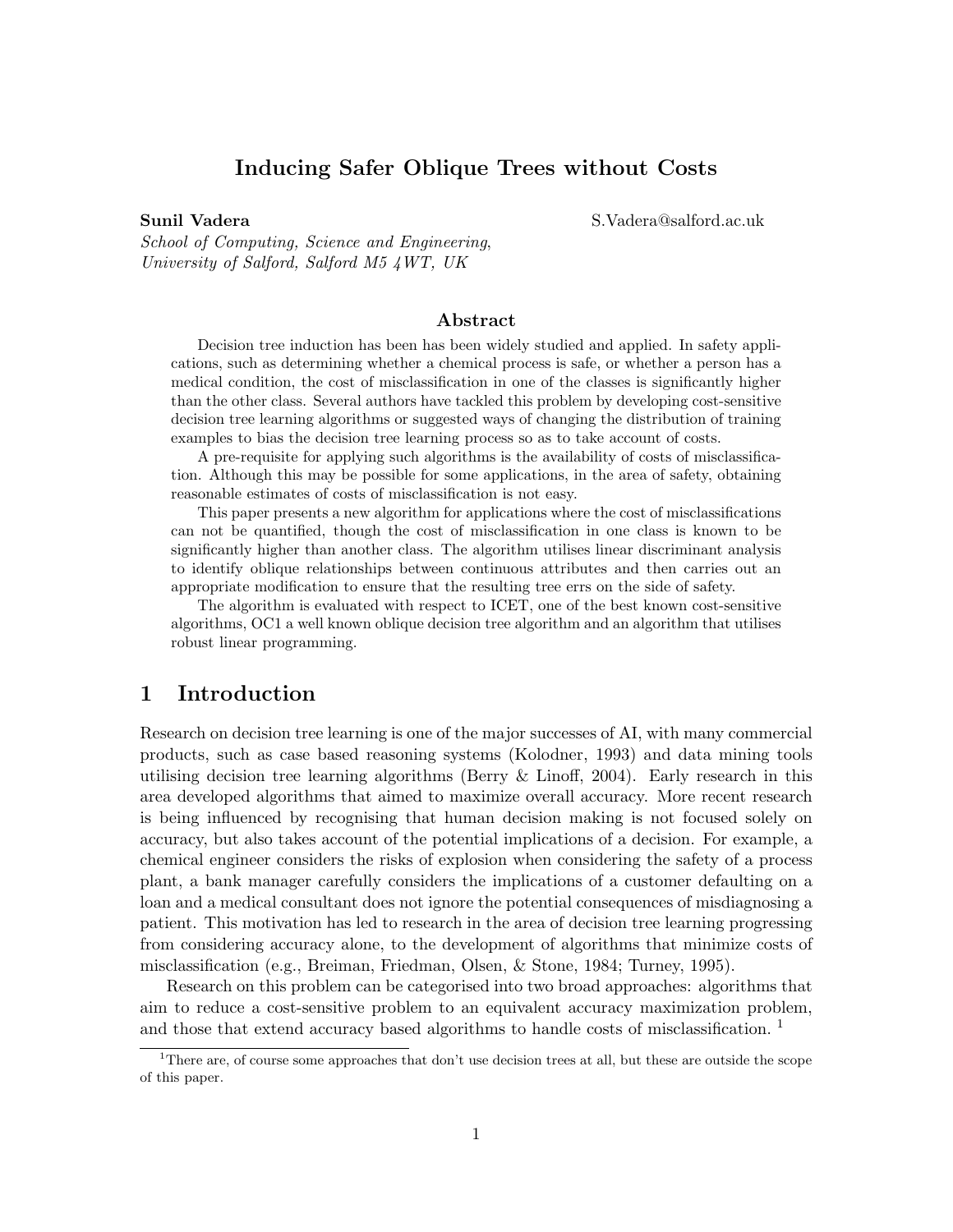## Inducing Safer Oblique Trees without Costs

Sunil Vadera S.Vadera@salford.ac.uk

School of Computing, Science and Engineering, University of Salford, Salford M5 4WT, UK

#### Abstract

Decision tree induction has been has been widely studied and applied. In safety applications, such as determining whether a chemical process is safe, or whether a person has a medical condition, the cost of misclassification in one of the classes is significantly higher than the other class. Several authors have tackled this problem by developing cost-sensitive decision tree learning algorithms or suggested ways of changing the distribution of training examples to bias the decision tree learning process so as to take account of costs.

A pre-requisite for applying such algorithms is the availability of costs of misclassification. Although this may be possible for some applications, in the area of safety, obtaining reasonable estimates of costs of misclassification is not easy.

This paper presents a new algorithm for applications where the cost of misclassifications can not be quantified, though the cost of misclassification in one class is known to be significantly higher than another class. The algorithm utilises linear discriminant analysis to identify oblique relationships between continuous attributes and then carries out an appropriate modification to ensure that the resulting tree errs on the side of safety.

The algorithm is evaluated with respect to ICET, one of the best known cost-sensitive algorithms, OC1 a well known oblique decision tree algorithm and an algorithm that utilises robust linear programming.

### 1 Introduction

Research on decision tree learning is one of the major successes of AI, with many commercial products, such as case based reasoning systems (Kolodner, 1993) and data mining tools utilising decision tree learning algorithms (Berry & Linoff, 2004). Early research in this area developed algorithms that aimed to maximize overall accuracy. More recent research is being influenced by recognising that human decision making is not focused solely on accuracy, but also takes account of the potential implications of a decision. For example, a chemical engineer considers the risks of explosion when considering the safety of a process plant, a bank manager carefully considers the implications of a customer defaulting on a loan and a medical consultant does not ignore the potential consequences of misdiagnosing a patient. This motivation has led to research in the area of decision tree learning progressing from considering accuracy alone, to the development of algorithms that minimize costs of misclassification (e.g., Breiman, Friedman, Olsen, & Stone, 1984; Turney, 1995).

Research on this problem can be categorised into two broad approaches: algorithms that aim to reduce a cost-sensitive problem to an equivalent accuracy maximization problem, and those that extend accuracy based algorithms to handle costs of misclassification.<sup>1</sup>

<sup>&</sup>lt;sup>1</sup>There are, of course some approaches that don't use decision trees at all, but these are outside the scope of this paper.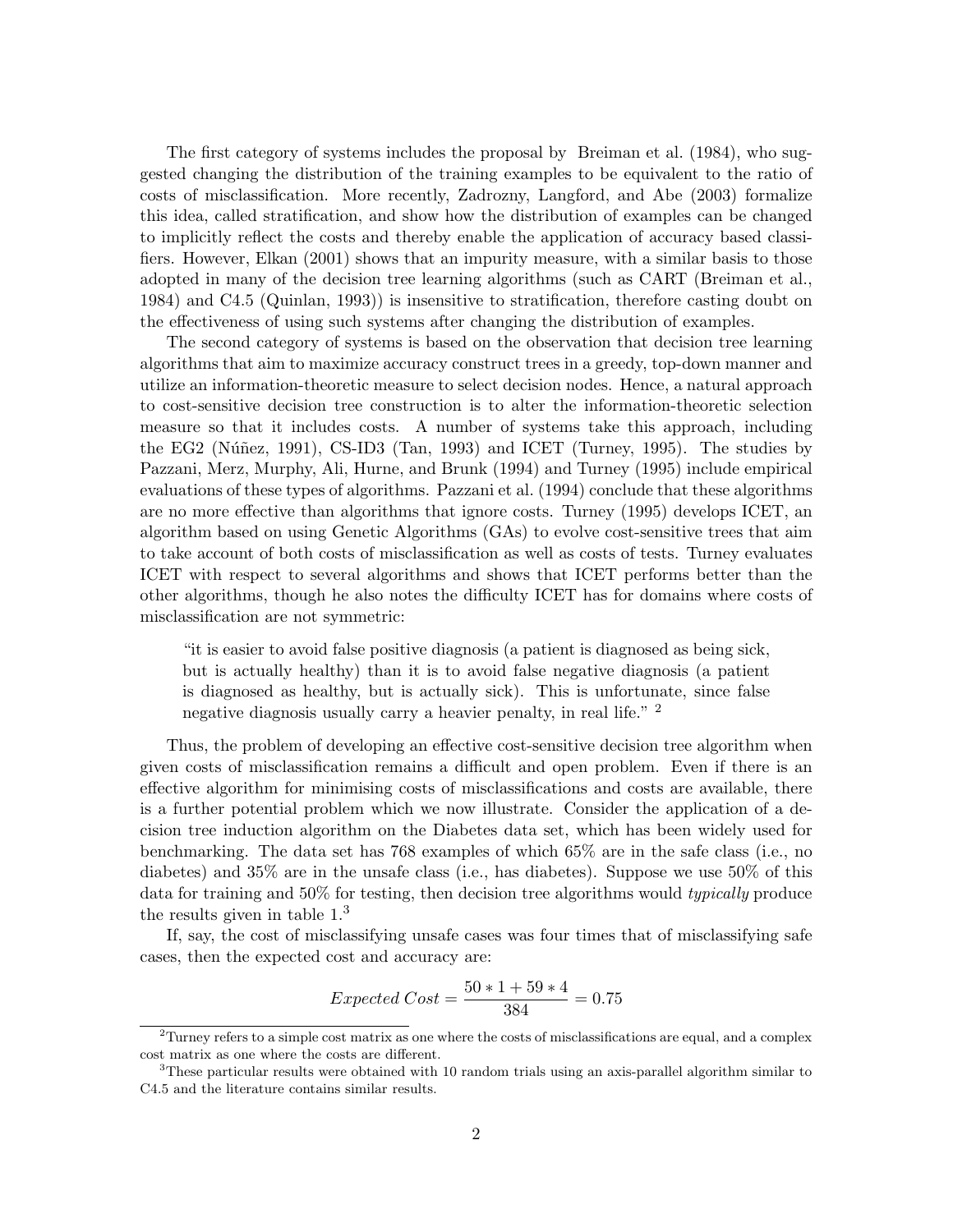The first category of systems includes the proposal by Breiman et al. (1984), who suggested changing the distribution of the training examples to be equivalent to the ratio of costs of misclassification. More recently, Zadrozny, Langford, and Abe (2003) formalize this idea, called stratification, and show how the distribution of examples can be changed to implicitly reflect the costs and thereby enable the application of accuracy based classifiers. However, Elkan (2001) shows that an impurity measure, with a similar basis to those adopted in many of the decision tree learning algorithms (such as CART (Breiman et al., 1984) and C4.5 (Quinlan, 1993)) is insensitive to stratification, therefore casting doubt on the effectiveness of using such systems after changing the distribution of examples.

The second category of systems is based on the observation that decision tree learning algorithms that aim to maximize accuracy construct trees in a greedy, top-down manner and utilize an information-theoretic measure to select decision nodes. Hence, a natural approach to cost-sensitive decision tree construction is to alter the information-theoretic selection measure so that it includes costs. A number of systems take this approach, including the EG2 (Núñez, 1991), CS-ID3 (Tan, 1993) and ICET (Turney, 1995). The studies by Pazzani, Merz, Murphy, Ali, Hurne, and Brunk (1994) and Turney (1995) include empirical evaluations of these types of algorithms. Pazzani et al. (1994) conclude that these algorithms are no more effective than algorithms that ignore costs. Turney (1995) develops ICET, an algorithm based on using Genetic Algorithms (GAs) to evolve cost-sensitive trees that aim to take account of both costs of misclassification as well as costs of tests. Turney evaluates ICET with respect to several algorithms and shows that ICET performs better than the other algorithms, though he also notes the difficulty ICET has for domains where costs of misclassification are not symmetric:

"it is easier to avoid false positive diagnosis (a patient is diagnosed as being sick, but is actually healthy) than it is to avoid false negative diagnosis (a patient is diagnosed as healthy, but is actually sick). This is unfortunate, since false negative diagnosis usually carry a heavier penalty, in real life." <sup>2</sup>

Thus, the problem of developing an effective cost-sensitive decision tree algorithm when given costs of misclassification remains a difficult and open problem. Even if there is an effective algorithm for minimising costs of misclassifications and costs are available, there is a further potential problem which we now illustrate. Consider the application of a decision tree induction algorithm on the Diabetes data set, which has been widely used for benchmarking. The data set has 768 examples of which 65% are in the safe class (i.e., no diabetes) and 35% are in the unsafe class (i.e., has diabetes). Suppose we use 50% of this data for training and 50% for testing, then decision tree algorithms would typically produce the results given in table 1.<sup>3</sup>

If, say, the cost of misclassifying unsafe cases was four times that of misclassifying safe cases, then the expected cost and accuracy are:

$$
Expected Cost = \frac{50 * 1 + 59 * 4}{384} = 0.75
$$

 $^{2}$ Turney refers to a simple cost matrix as one where the costs of misclassifications are equal, and a complex cost matrix as one where the costs are different.

<sup>3</sup>These particular results were obtained with 10 random trials using an axis-parallel algorithm similar to C4.5 and the literature contains similar results.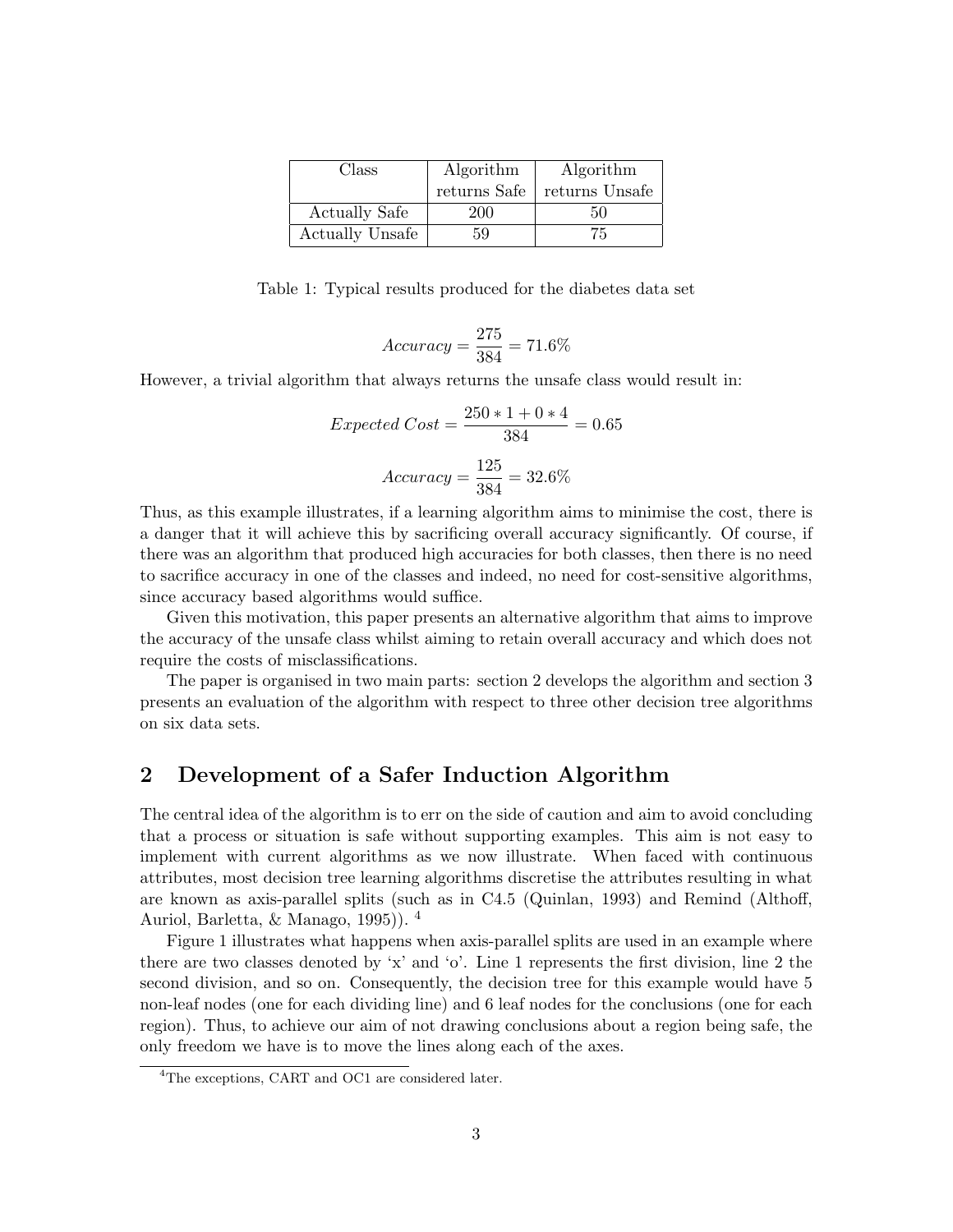| Class                  | Algorithm    | Algorithm      |
|------------------------|--------------|----------------|
|                        | returns Safe | returns Unsafe |
| <b>Actually Safe</b>   | 200          | 50             |
| <b>Actually Unsafe</b> | 59           | 75             |

Table 1: Typical results produced for the diabetes data set

$$
Accuracy = \frac{275}{384} = 71.6\%
$$

However, a trivial algorithm that always returns the unsafe class would result in:

Expected Cost = 
$$
\frac{250 * 1 + 0 * 4}{384} = 0.65
$$

$$
Accuracy = \frac{125}{384} = 32.6\%
$$

Thus, as this example illustrates, if a learning algorithm aims to minimise the cost, there is a danger that it will achieve this by sacrificing overall accuracy significantly. Of course, if there was an algorithm that produced high accuracies for both classes, then there is no need to sacrifice accuracy in one of the classes and indeed, no need for cost-sensitive algorithms, since accuracy based algorithms would suffice.

Given this motivation, this paper presents an alternative algorithm that aims to improve the accuracy of the unsafe class whilst aiming to retain overall accuracy and which does not require the costs of misclassifications.

The paper is organised in two main parts: section 2 develops the algorithm and section 3 presents an evaluation of the algorithm with respect to three other decision tree algorithms on six data sets.

## 2 Development of a Safer Induction Algorithm

The central idea of the algorithm is to err on the side of caution and aim to avoid concluding that a process or situation is safe without supporting examples. This aim is not easy to implement with current algorithms as we now illustrate. When faced with continuous attributes, most decision tree learning algorithms discretise the attributes resulting in what are known as axis-parallel splits (such as in C4.5 (Quinlan, 1993) and Remind (Althoff, Auriol, Barletta, & Manago, 1995)). <sup>4</sup>

Figure 1 illustrates what happens when axis-parallel splits are used in an example where there are two classes denoted by 'x' and 'o'. Line 1 represents the first division, line 2 the second division, and so on. Consequently, the decision tree for this example would have 5 non-leaf nodes (one for each dividing line) and 6 leaf nodes for the conclusions (one for each region). Thus, to achieve our aim of not drawing conclusions about a region being safe, the only freedom we have is to move the lines along each of the axes.

<sup>4</sup>The exceptions, CART and OC1 are considered later.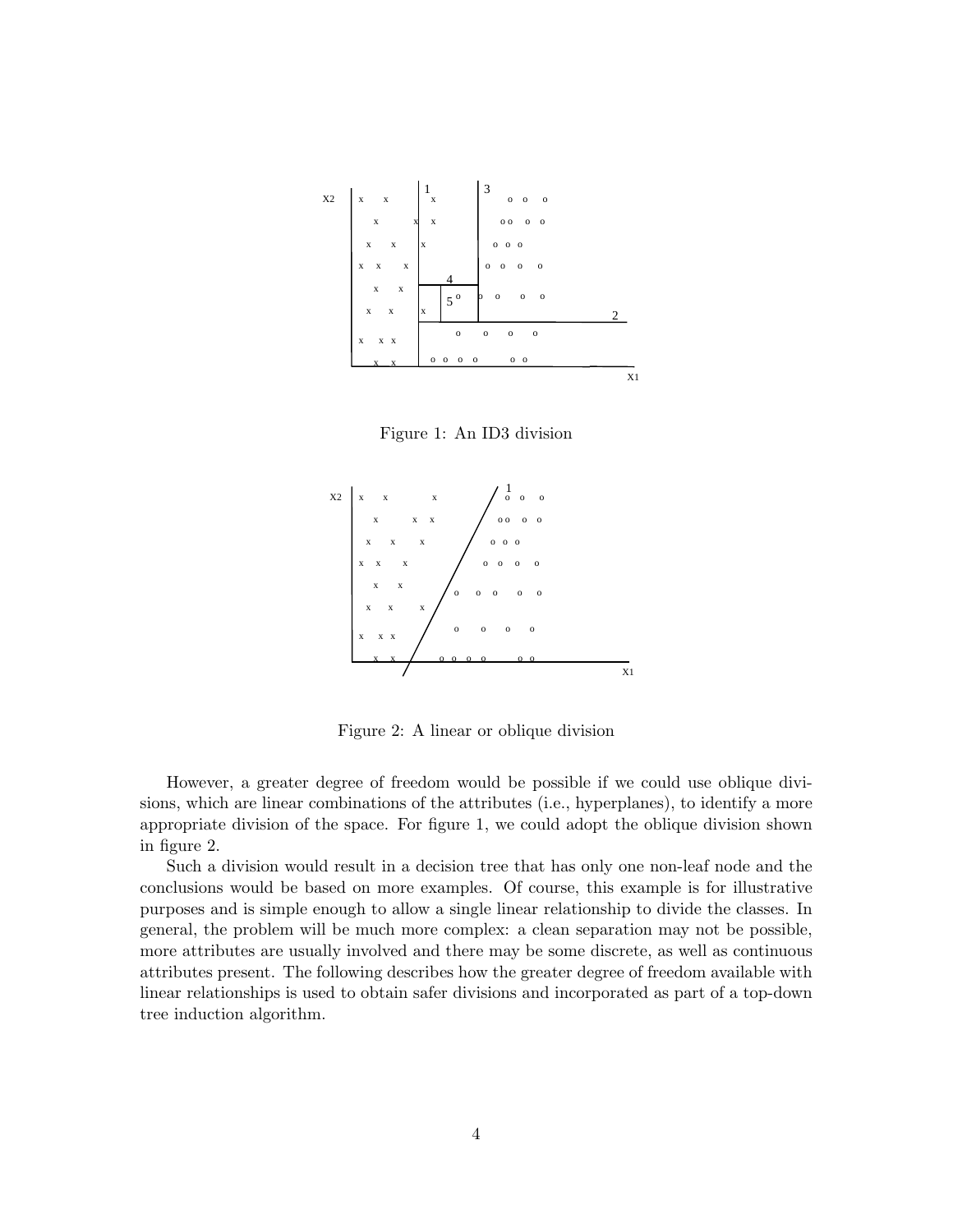

Figure 1: An ID3 division



Figure 2: A linear or oblique division

However, a greater degree of freedom would be possible if we could use oblique divisions, which are linear combinations of the attributes (i.e., hyperplanes), to identify a more appropriate division of the space. For figure 1, we could adopt the oblique division shown in figure 2.

Such a division would result in a decision tree that has only one non-leaf node and the conclusions would be based on more examples. Of course, this example is for illustrative purposes and is simple enough to allow a single linear relationship to divide the classes. In general, the problem will be much more complex: a clean separation may not be possible, more attributes are usually involved and there may be some discrete, as well as continuous attributes present. The following describes how the greater degree of freedom available with linear relationships is used to obtain safer divisions and incorporated as part of a top-down tree induction algorithm.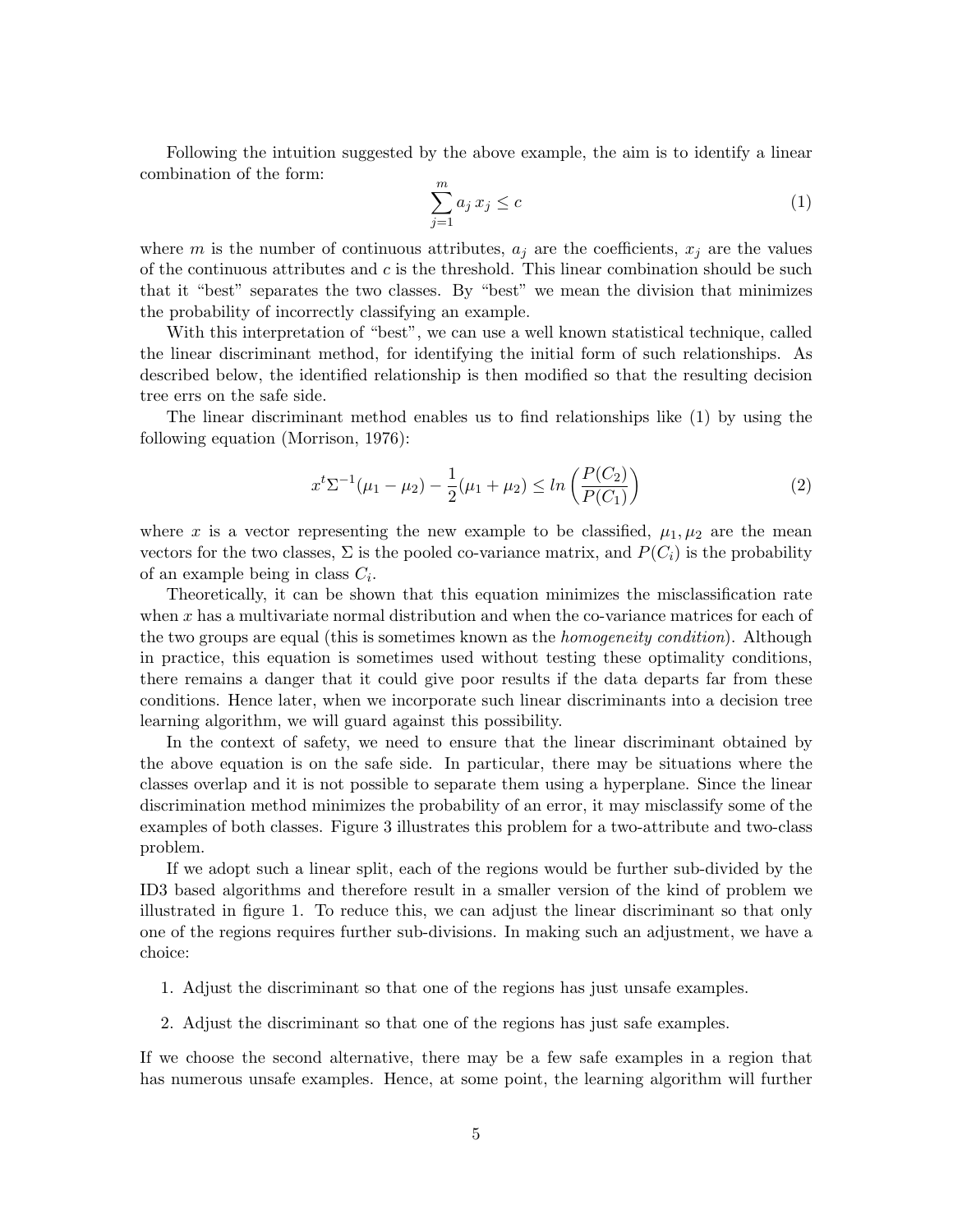Following the intuition suggested by the above example, the aim is to identify a linear combination of the form:

$$
\sum_{j=1}^{m} a_j x_j \le c \tag{1}
$$

where m is the number of continuous attributes,  $a_j$  are the coefficients,  $x_j$  are the values of the continuous attributes and  $c$  is the threshold. This linear combination should be such that it "best" separates the two classes. By "best" we mean the division that minimizes the probability of incorrectly classifying an example.

With this interpretation of "best", we can use a well known statistical technique, called the linear discriminant method, for identifying the initial form of such relationships. As described below, the identified relationship is then modified so that the resulting decision tree errs on the safe side.

The linear discriminant method enables us to find relationships like (1) by using the following equation (Morrison, 1976):

$$
x^{t} \Sigma^{-1}(\mu_1 - \mu_2) - \frac{1}{2}(\mu_1 + \mu_2) \le \ln\left(\frac{P(C_2)}{P(C_1)}\right)
$$
 (2)

where x is a vector representing the new example to be classified,  $\mu_1, \mu_2$  are the mean vectors for the two classes,  $\Sigma$  is the pooled co-variance matrix, and  $P(C_i)$  is the probability of an example being in class  $C_i$ .

Theoretically, it can be shown that this equation minimizes the misclassification rate when  $x$  has a multivariate normal distribution and when the co-variance matrices for each of the two groups are equal (this is sometimes known as the *homogeneity condition*). Although in practice, this equation is sometimes used without testing these optimality conditions, there remains a danger that it could give poor results if the data departs far from these conditions. Hence later, when we incorporate such linear discriminants into a decision tree learning algorithm, we will guard against this possibility.

In the context of safety, we need to ensure that the linear discriminant obtained by the above equation is on the safe side. In particular, there may be situations where the classes overlap and it is not possible to separate them using a hyperplane. Since the linear discrimination method minimizes the probability of an error, it may misclassify some of the examples of both classes. Figure 3 illustrates this problem for a two-attribute and two-class problem.

If we adopt such a linear split, each of the regions would be further sub-divided by the ID3 based algorithms and therefore result in a smaller version of the kind of problem we illustrated in figure 1. To reduce this, we can adjust the linear discriminant so that only one of the regions requires further sub-divisions. In making such an adjustment, we have a choice:

- 1. Adjust the discriminant so that one of the regions has just unsafe examples.
- 2. Adjust the discriminant so that one of the regions has just safe examples.

If we choose the second alternative, there may be a few safe examples in a region that has numerous unsafe examples. Hence, at some point, the learning algorithm will further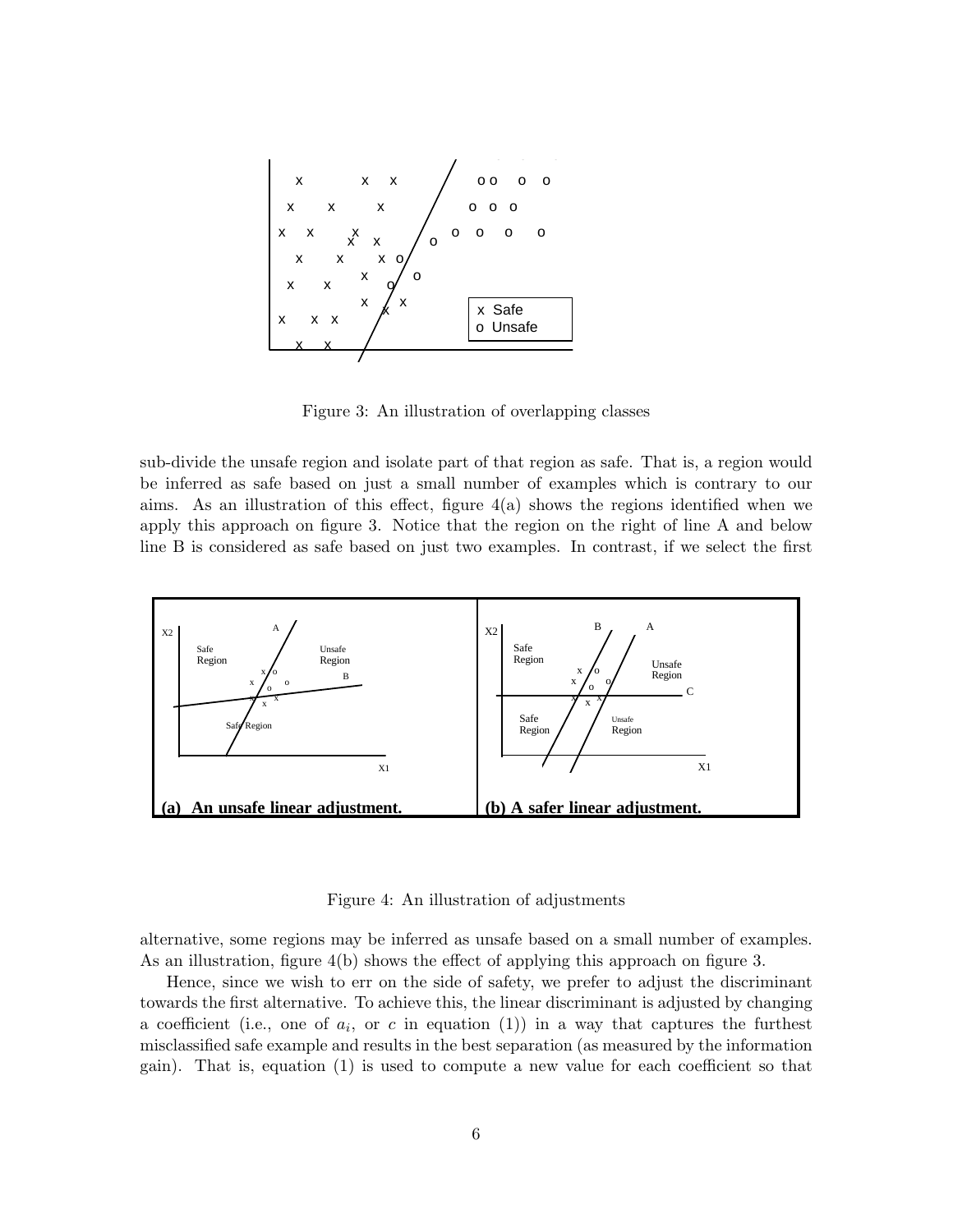

Figure 3: An illustration of overlapping classes

sub-divide the unsafe region and isolate part of that region as safe. That is, a region would be inferred as safe based on just a small number of examples which is contrary to our aims. As an illustration of this effect, figure  $4(a)$  shows the regions identified when we apply this approach on figure 3. Notice that the region on the right of line A and below line B is considered as safe based on just two examples. In contrast, if we select the first



Figure 4: An illustration of adjustments

alternative, some regions may be inferred as unsafe based on a small number of examples. As an illustration, figure 4(b) shows the effect of applying this approach on figure 3.

Hence, since we wish to err on the side of safety, we prefer to adjust the discriminant towards the first alternative. To achieve this, the linear discriminant is adjusted by changing a coefficient (i.e., one of  $a_i$ , or c in equation (1)) in a way that captures the furthest misclassified safe example and results in the best separation (as measured by the information gain). That is, equation (1) is used to compute a new value for each coefficient so that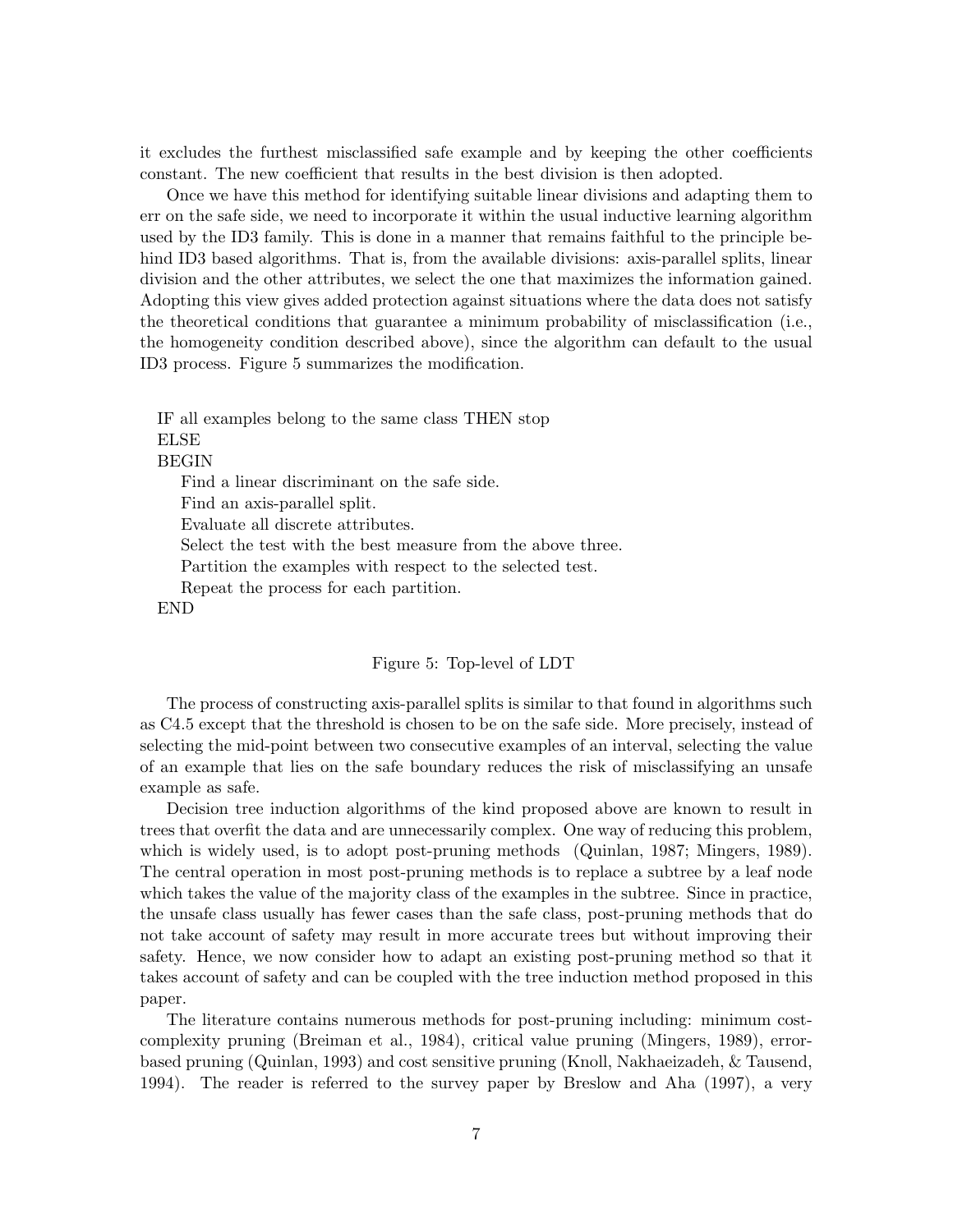it excludes the furthest misclassified safe example and by keeping the other coefficients constant. The new coefficient that results in the best division is then adopted.

Once we have this method for identifying suitable linear divisions and adapting them to err on the safe side, we need to incorporate it within the usual inductive learning algorithm used by the ID3 family. This is done in a manner that remains faithful to the principle behind ID3 based algorithms. That is, from the available divisions: axis-parallel splits, linear division and the other attributes, we select the one that maximizes the information gained. Adopting this view gives added protection against situations where the data does not satisfy the theoretical conditions that guarantee a minimum probability of misclassification (i.e., the homogeneity condition described above), since the algorithm can default to the usual ID3 process. Figure 5 summarizes the modification.

IF all examples belong to the same class THEN stop ELSE

BEGIN

Find a linear discriminant on the safe side.

Find an axis-parallel split.

Evaluate all discrete attributes.

Select the test with the best measure from the above three.

Partition the examples with respect to the selected test.

Repeat the process for each partition.

END

#### Figure 5: Top-level of LDT

The process of constructing axis-parallel splits is similar to that found in algorithms such as C4.5 except that the threshold is chosen to be on the safe side. More precisely, instead of selecting the mid-point between two consecutive examples of an interval, selecting the value of an example that lies on the safe boundary reduces the risk of misclassifying an unsafe example as safe.

Decision tree induction algorithms of the kind proposed above are known to result in trees that overfit the data and are unnecessarily complex. One way of reducing this problem, which is widely used, is to adopt post-pruning methods (Quinlan, 1987; Mingers, 1989). The central operation in most post-pruning methods is to replace a subtree by a leaf node which takes the value of the majority class of the examples in the subtree. Since in practice, the unsafe class usually has fewer cases than the safe class, post-pruning methods that do not take account of safety may result in more accurate trees but without improving their safety. Hence, we now consider how to adapt an existing post-pruning method so that it takes account of safety and can be coupled with the tree induction method proposed in this paper.

The literature contains numerous methods for post-pruning including: minimum costcomplexity pruning (Breiman et al., 1984), critical value pruning (Mingers, 1989), errorbased pruning (Quinlan, 1993) and cost sensitive pruning (Knoll, Nakhaeizadeh, & Tausend, 1994). The reader is referred to the survey paper by Breslow and Aha (1997), a very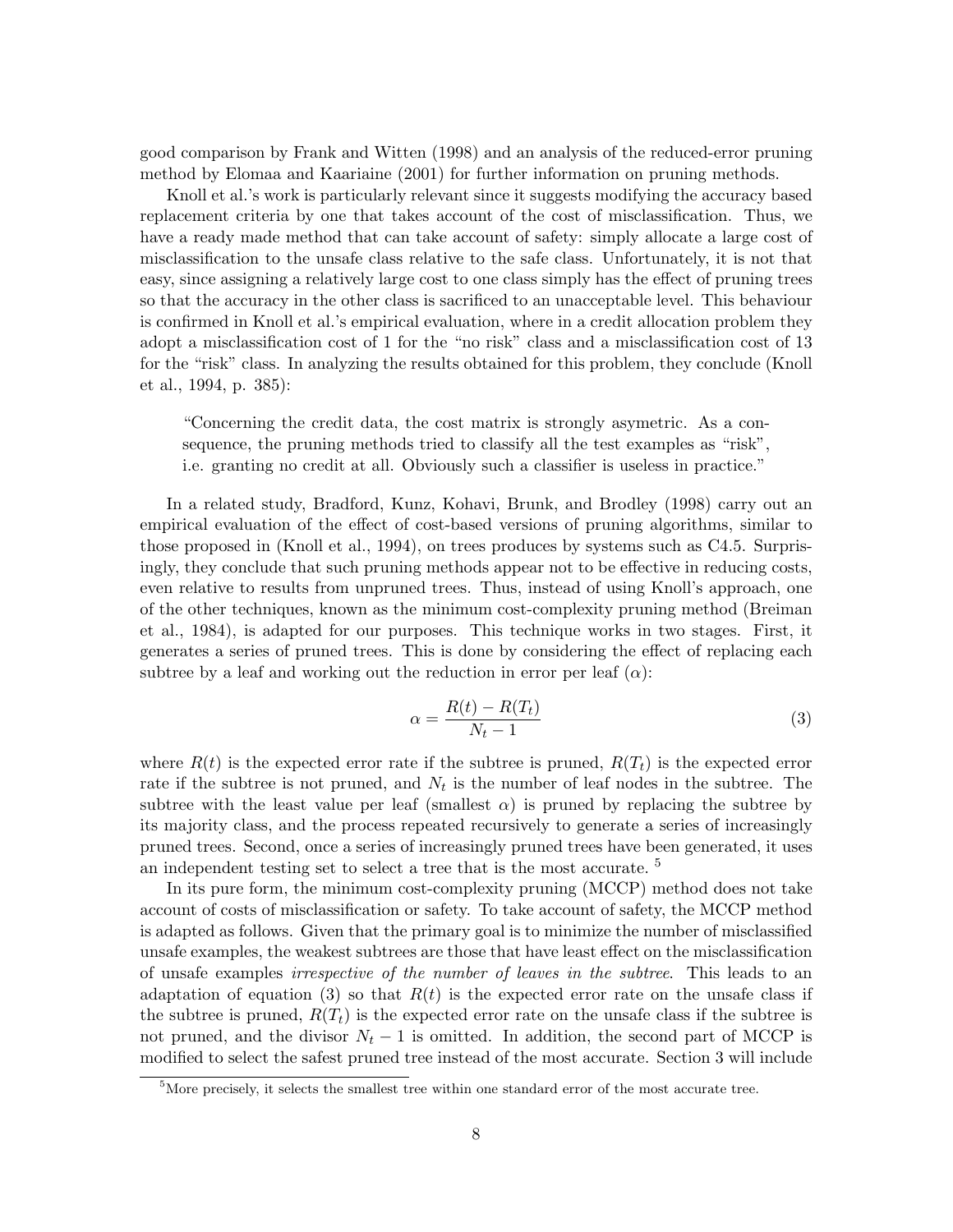good comparison by Frank and Witten (1998) and an analysis of the reduced-error pruning method by Elomaa and Kaariaine (2001) for further information on pruning methods.

Knoll et al.'s work is particularly relevant since it suggests modifying the accuracy based replacement criteria by one that takes account of the cost of misclassification. Thus, we have a ready made method that can take account of safety: simply allocate a large cost of misclassification to the unsafe class relative to the safe class. Unfortunately, it is not that easy, since assigning a relatively large cost to one class simply has the effect of pruning trees so that the accuracy in the other class is sacrificed to an unacceptable level. This behaviour is confirmed in Knoll et al.'s empirical evaluation, where in a credit allocation problem they adopt a misclassification cost of 1 for the "no risk" class and a misclassification cost of 13 for the "risk" class. In analyzing the results obtained for this problem, they conclude (Knoll et al., 1994, p. 385):

"Concerning the credit data, the cost matrix is strongly asymetric. As a consequence, the pruning methods tried to classify all the test examples as "risk", i.e. granting no credit at all. Obviously such a classifier is useless in practice."

In a related study, Bradford, Kunz, Kohavi, Brunk, and Brodley (1998) carry out an empirical evaluation of the effect of cost-based versions of pruning algorithms, similar to those proposed in (Knoll et al., 1994), on trees produces by systems such as C4.5. Surprisingly, they conclude that such pruning methods appear not to be effective in reducing costs, even relative to results from unpruned trees. Thus, instead of using Knoll's approach, one of the other techniques, known as the minimum cost-complexity pruning method (Breiman et al., 1984), is adapted for our purposes. This technique works in two stages. First, it generates a series of pruned trees. This is done by considering the effect of replacing each subtree by a leaf and working out the reduction in error per leaf  $(\alpha)$ :

$$
\alpha = \frac{R(t) - R(T_t)}{N_t - 1} \tag{3}
$$

where  $R(t)$  is the expected error rate if the subtree is pruned,  $R(T_t)$  is the expected error rate if the subtree is not pruned, and  $N_t$  is the number of leaf nodes in the subtree. The subtree with the least value per leaf (smallest  $\alpha$ ) is pruned by replacing the subtree by its majority class, and the process repeated recursively to generate a series of increasingly pruned trees. Second, once a series of increasingly pruned trees have been generated, it uses an independent testing set to select a tree that is the most accurate. <sup>5</sup>

In its pure form, the minimum cost-complexity pruning (MCCP) method does not take account of costs of misclassification or safety. To take account of safety, the MCCP method is adapted as follows. Given that the primary goal is to minimize the number of misclassified unsafe examples, the weakest subtrees are those that have least effect on the misclassification of unsafe examples irrespective of the number of leaves in the subtree. This leads to an adaptation of equation (3) so that  $R(t)$  is the expected error rate on the unsafe class if the subtree is pruned,  $R(T_t)$  is the expected error rate on the unsafe class if the subtree is not pruned, and the divisor  $N_t - 1$  is omitted. In addition, the second part of MCCP is modified to select the safest pruned tree instead of the most accurate. Section 3 will include

 $5$ More precisely, it selects the smallest tree within one standard error of the most accurate tree.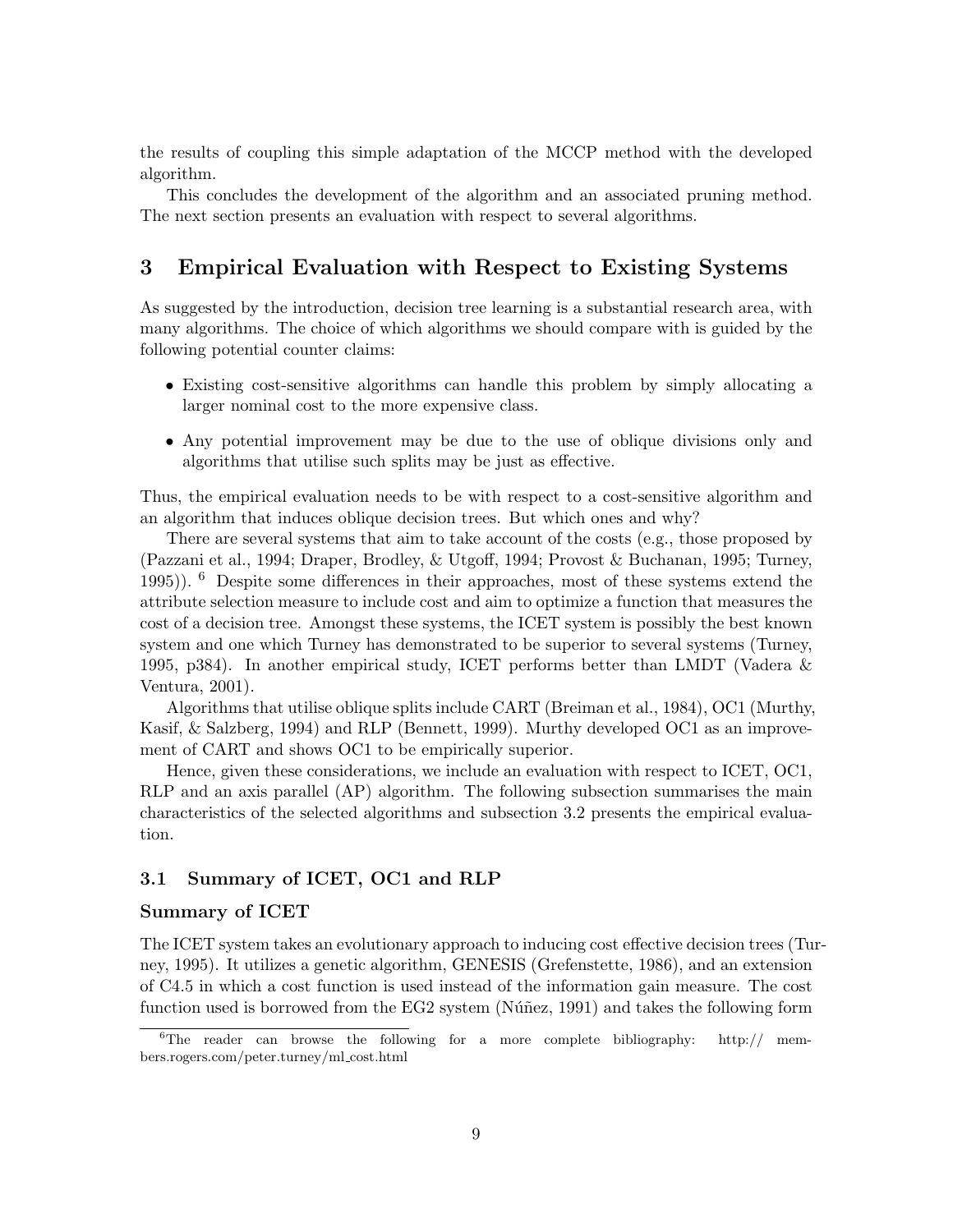the results of coupling this simple adaptation of the MCCP method with the developed algorithm.

This concludes the development of the algorithm and an associated pruning method. The next section presents an evaluation with respect to several algorithms.

## 3 Empirical Evaluation with Respect to Existing Systems

As suggested by the introduction, decision tree learning is a substantial research area, with many algorithms. The choice of which algorithms we should compare with is guided by the following potential counter claims:

- Existing cost-sensitive algorithms can handle this problem by simply allocating a larger nominal cost to the more expensive class.
- Any potential improvement may be due to the use of oblique divisions only and algorithms that utilise such splits may be just as effective.

Thus, the empirical evaluation needs to be with respect to a cost-sensitive algorithm and an algorithm that induces oblique decision trees. But which ones and why?

There are several systems that aim to take account of the costs (e.g., those proposed by (Pazzani et al., 1994; Draper, Brodley, & Utgoff, 1994; Provost & Buchanan, 1995; Turney, 1995)). <sup>6</sup> Despite some differences in their approaches, most of these systems extend the attribute selection measure to include cost and aim to optimize a function that measures the cost of a decision tree. Amongst these systems, the ICET system is possibly the best known system and one which Turney has demonstrated to be superior to several systems (Turney, 1995, p384). In another empirical study, ICET performs better than LMDT (Vadera & Ventura, 2001).

Algorithms that utilise oblique splits include CART (Breiman et al., 1984), OC1 (Murthy, Kasif, & Salzberg, 1994) and RLP (Bennett, 1999). Murthy developed OC1 as an improvement of CART and shows OC1 to be empirically superior.

Hence, given these considerations, we include an evaluation with respect to ICET, OC1, RLP and an axis parallel (AP) algorithm. The following subsection summarises the main characteristics of the selected algorithms and subsection 3.2 presents the empirical evaluation.

#### 3.1 Summary of ICET, OC1 and RLP

#### Summary of ICET

The ICET system takes an evolutionary approach to inducing cost effective decision trees (Turney, 1995). It utilizes a genetic algorithm, GENESIS (Grefenstette, 1986), and an extension of C4.5 in which a cost function is used instead of the information gain measure. The cost function used is borrowed from the EG2 system (Núñez, 1991) and takes the following form

 ${}^{6}$ The reader can browse the following for a more complete bibliography: http:// members.rogers.com/peter.turney/ml cost.html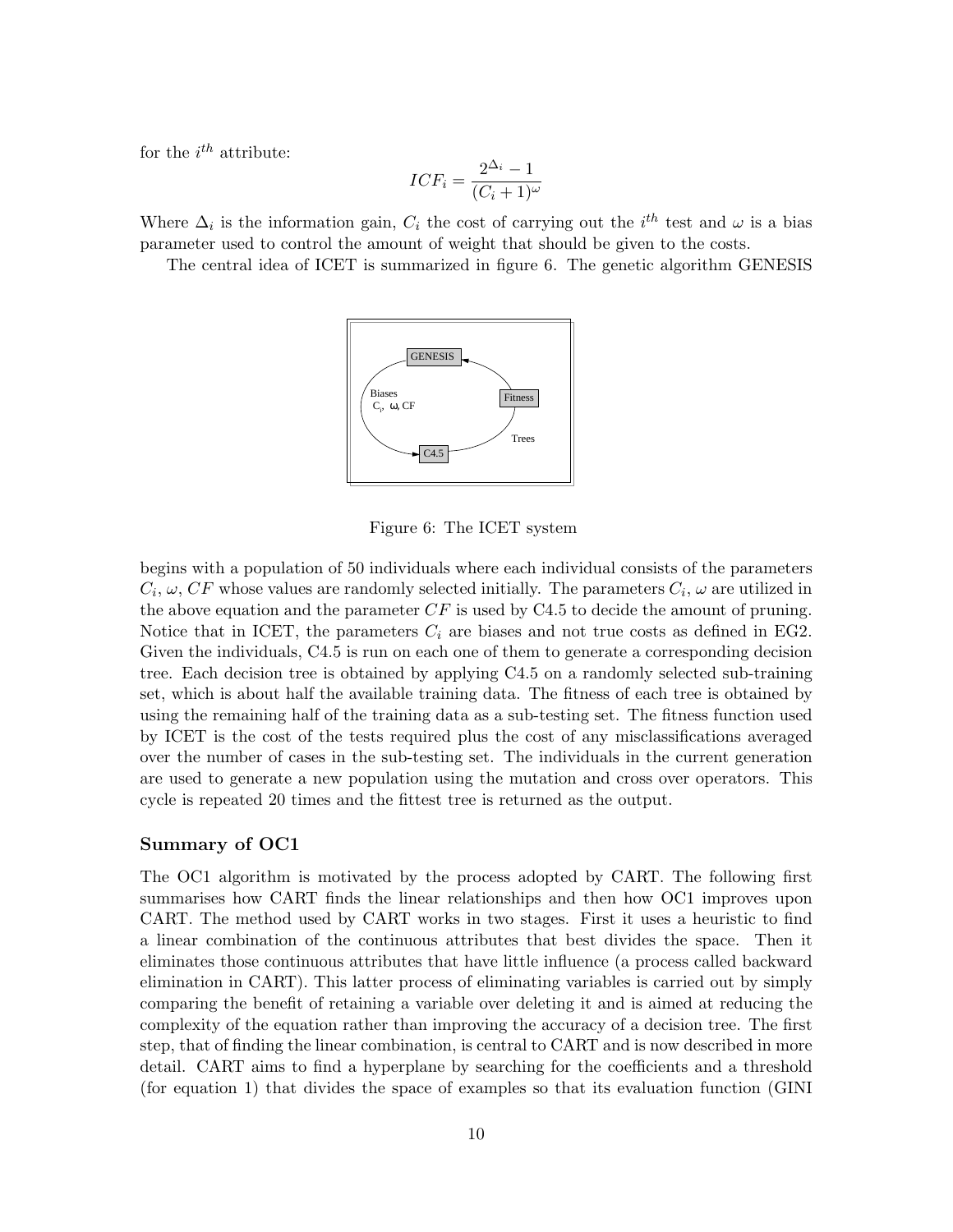for the  $i^{th}$  attribute:

$$
ICF_i = \frac{2^{\Delta_i} - 1}{(C_i + 1)^{\omega}}
$$

Where  $\Delta_i$  is the information gain,  $C_i$  the cost of carrying out the  $i^{th}$  test and  $\omega$  is a bias parameter used to control the amount of weight that should be given to the costs.

The central idea of ICET is summarized in figure 6. The genetic algorithm GENESIS



Figure 6: The ICET system

begins with a population of 50 individuals where each individual consists of the parameters  $C_i, \omega, CF$  whose values are randomly selected initially. The parameters  $C_i, \omega$  are utilized in the above equation and the parameter  $CF$  is used by C4.5 to decide the amount of pruning. Notice that in ICET, the parameters  $C_i$  are biases and not true costs as defined in EG2. Given the individuals, C4.5 is run on each one of them to generate a corresponding decision tree. Each decision tree is obtained by applying C4.5 on a randomly selected sub-training set, which is about half the available training data. The fitness of each tree is obtained by using the remaining half of the training data as a sub-testing set. The fitness function used by ICET is the cost of the tests required plus the cost of any misclassifications averaged over the number of cases in the sub-testing set. The individuals in the current generation are used to generate a new population using the mutation and cross over operators. This cycle is repeated 20 times and the fittest tree is returned as the output.

#### Summary of OC1

The OC1 algorithm is motivated by the process adopted by CART. The following first summarises how CART finds the linear relationships and then how OC1 improves upon CART. The method used by CART works in two stages. First it uses a heuristic to find a linear combination of the continuous attributes that best divides the space. Then it eliminates those continuous attributes that have little influence (a process called backward elimination in CART). This latter process of eliminating variables is carried out by simply comparing the benefit of retaining a variable over deleting it and is aimed at reducing the complexity of the equation rather than improving the accuracy of a decision tree. The first step, that of finding the linear combination, is central to CART and is now described in more detail. CART aims to find a hyperplane by searching for the coefficients and a threshold (for equation 1) that divides the space of examples so that its evaluation function (GINI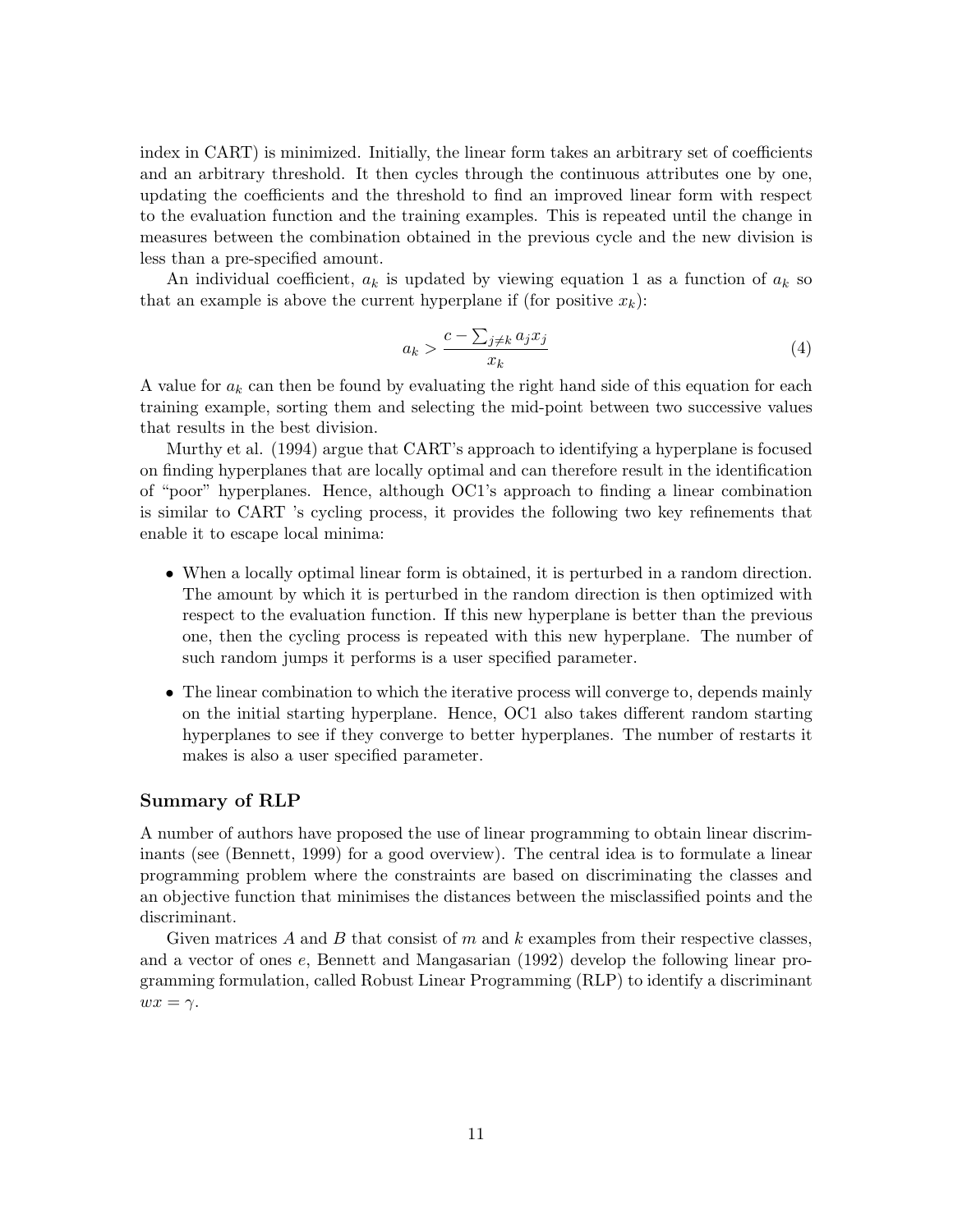index in CART) is minimized. Initially, the linear form takes an arbitrary set of coefficients and an arbitrary threshold. It then cycles through the continuous attributes one by one, updating the coefficients and the threshold to find an improved linear form with respect to the evaluation function and the training examples. This is repeated until the change in measures between the combination obtained in the previous cycle and the new division is less than a pre-specified amount.

An individual coefficient,  $a_k$  is updated by viewing equation 1 as a function of  $a_k$  so that an example is above the current hyperplane if (for positive  $x_k$ ):

$$
a_k > \frac{c - \sum_{j \neq k} a_j x_j}{x_k} \tag{4}
$$

A value for  $a_k$  can then be found by evaluating the right hand side of this equation for each training example, sorting them and selecting the mid-point between two successive values that results in the best division.

Murthy et al. (1994) argue that CART's approach to identifying a hyperplane is focused on finding hyperplanes that are locally optimal and can therefore result in the identification of "poor" hyperplanes. Hence, although OC1's approach to finding a linear combination is similar to CART 's cycling process, it provides the following two key refinements that enable it to escape local minima:

- When a locally optimal linear form is obtained, it is perturbed in a random direction. The amount by which it is perturbed in the random direction is then optimized with respect to the evaluation function. If this new hyperplane is better than the previous one, then the cycling process is repeated with this new hyperplane. The number of such random jumps it performs is a user specified parameter.
- The linear combination to which the iterative process will converge to, depends mainly on the initial starting hyperplane. Hence, OC1 also takes different random starting hyperplanes to see if they converge to better hyperplanes. The number of restarts it makes is also a user specified parameter.

#### Summary of RLP

A number of authors have proposed the use of linear programming to obtain linear discriminants (see (Bennett, 1999) for a good overview). The central idea is to formulate a linear programming problem where the constraints are based on discriminating the classes and an objective function that minimises the distances between the misclassified points and the discriminant.

Given matrices A and B that consist of  $m$  and  $k$  examples from their respective classes, and a vector of ones e, Bennett and Mangasarian (1992) develop the following linear programming formulation, called Robust Linear Programming (RLP) to identify a discriminant  $wx = \gamma$ .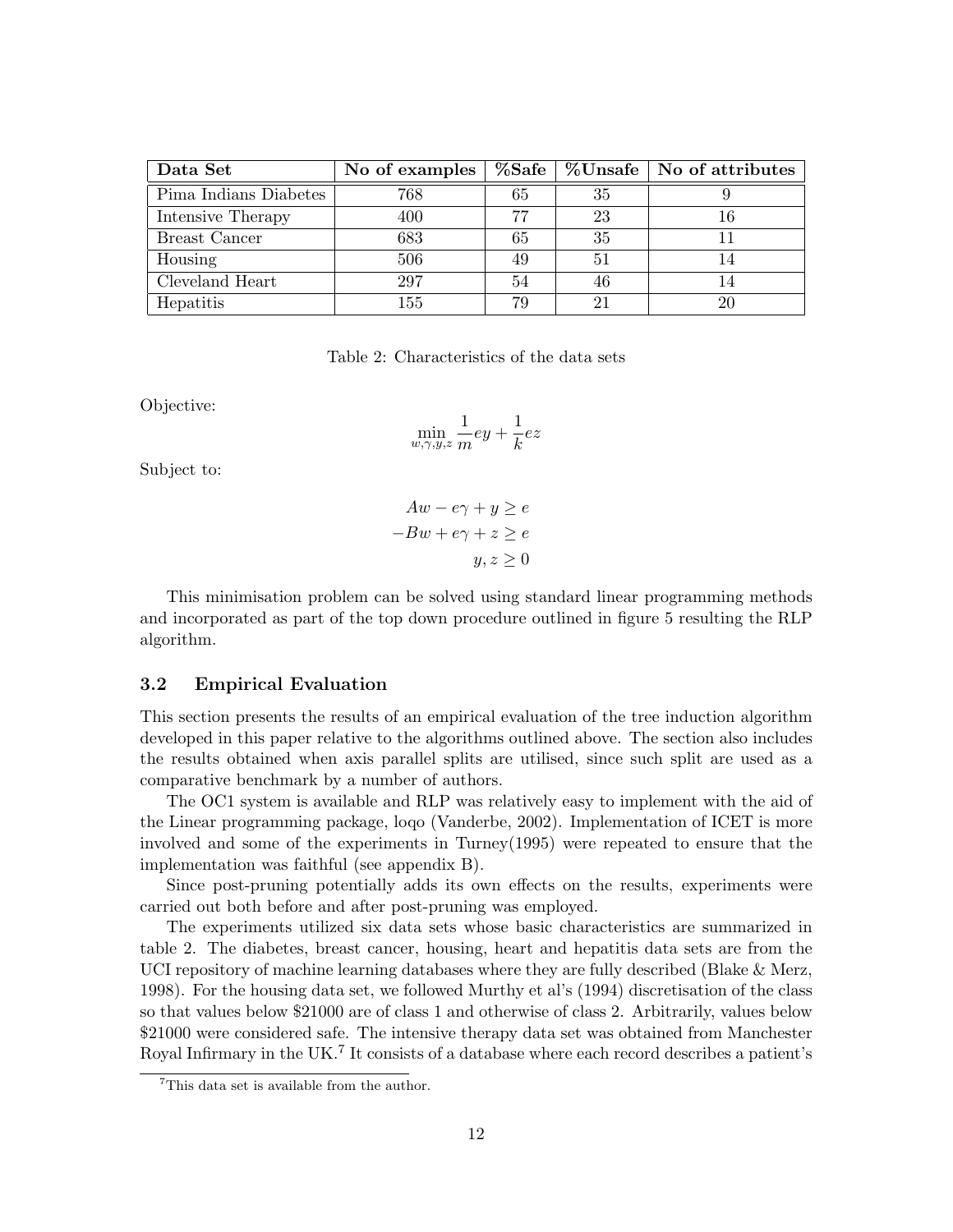| Data Set              | No of examples |    |    | $\%$ Safe   $\%$ Unsafe   No of attributes |
|-----------------------|----------------|----|----|--------------------------------------------|
| Pima Indians Diabetes | 768            | 65 | 35 |                                            |
| Intensive Therapy     | 400            | 77 | 23 | 16                                         |
| Breast Cancer         | 683            | 65 | 35 |                                            |
| Housing               | 506            | 49 | 51 |                                            |
| Cleveland Heart       | 297            | 54 | 46 | 14                                         |
| Hepatitis             | 155            | 79 | 21 | 20                                         |

Table 2: Characteristics of the data sets

Objective:

$$
\min_{w,\gamma,y,z}\frac{1}{m}ey+\frac{1}{k}ez
$$

Subject to:

$$
Aw - e\gamma + y \ge e
$$

$$
-Bw + e\gamma + z \ge e
$$

$$
y, z \ge 0
$$

This minimisation problem can be solved using standard linear programming methods and incorporated as part of the top down procedure outlined in figure 5 resulting the RLP algorithm.

#### 3.2 Empirical Evaluation

This section presents the results of an empirical evaluation of the tree induction algorithm developed in this paper relative to the algorithms outlined above. The section also includes the results obtained when axis parallel splits are utilised, since such split are used as a comparative benchmark by a number of authors.

The OC1 system is available and RLP was relatively easy to implement with the aid of the Linear programming package, loqo (Vanderbe, 2002). Implementation of ICET is more involved and some of the experiments in Turney(1995) were repeated to ensure that the implementation was faithful (see appendix B).

Since post-pruning potentially adds its own effects on the results, experiments were carried out both before and after post-pruning was employed.

The experiments utilized six data sets whose basic characteristics are summarized in table 2. The diabetes, breast cancer, housing, heart and hepatitis data sets are from the UCI repository of machine learning databases where they are fully described (Blake & Merz, 1998). For the housing data set, we followed Murthy et al's (1994) discretisation of the class so that values below \$21000 are of class 1 and otherwise of class 2. Arbitrarily, values below \$21000 were considered safe. The intensive therapy data set was obtained from Manchester Royal Infirmary in the UK.<sup>7</sup> It consists of a database where each record describes a patient's

<sup>&</sup>lt;sup>7</sup>This data set is available from the author.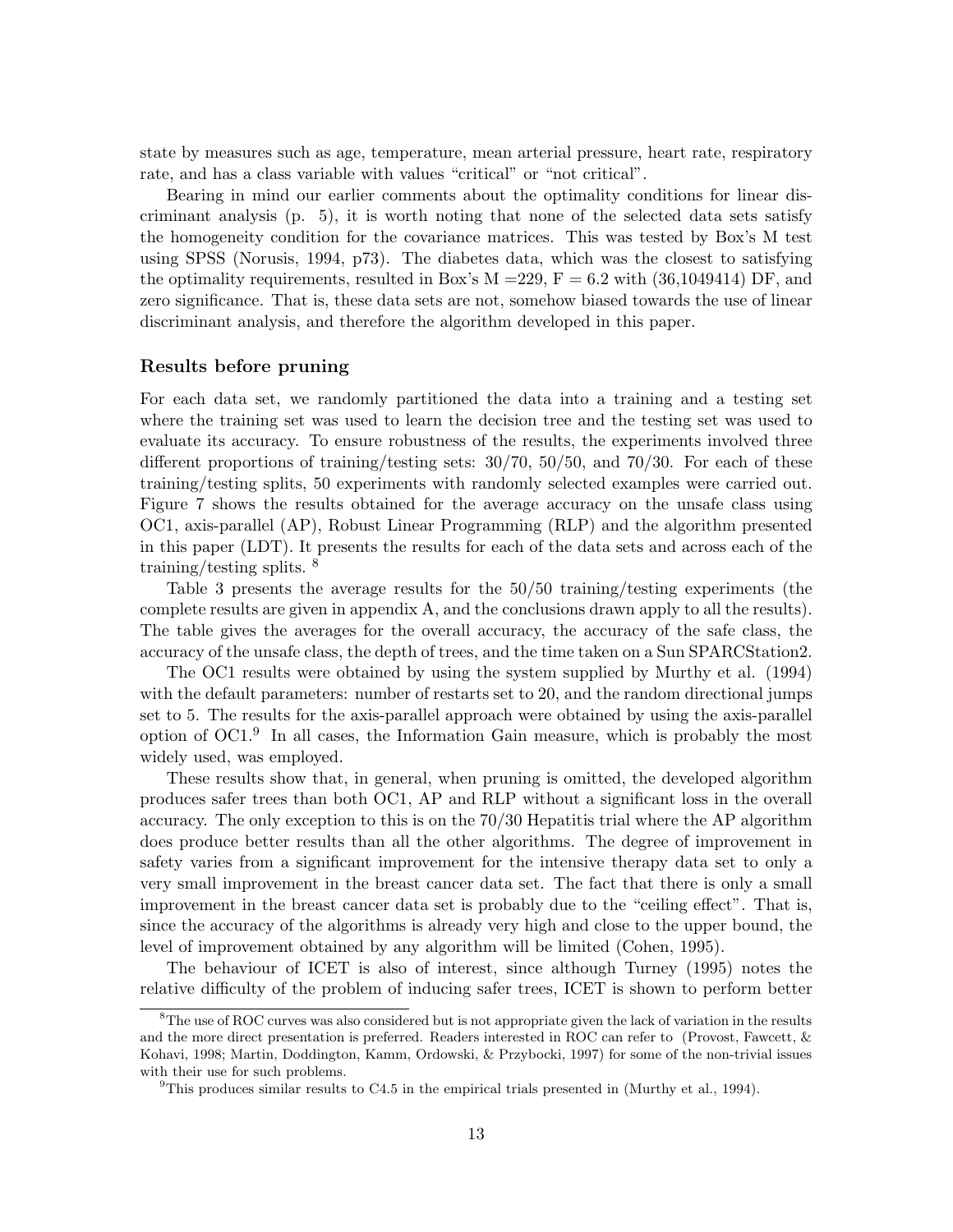state by measures such as age, temperature, mean arterial pressure, heart rate, respiratory rate, and has a class variable with values "critical" or "not critical".

Bearing in mind our earlier comments about the optimality conditions for linear discriminant analysis (p. 5), it is worth noting that none of the selected data sets satisfy the homogeneity condition for the covariance matrices. This was tested by Box's M test using SPSS (Norusis, 1994, p73). The diabetes data, which was the closest to satisfying the optimality requirements, resulted in Box's  $M = 229$ ,  $F = 6.2$  with  $(36,1049414)$  DF, and zero significance. That is, these data sets are not, somehow biased towards the use of linear discriminant analysis, and therefore the algorithm developed in this paper.

#### Results before pruning

For each data set, we randomly partitioned the data into a training and a testing set where the training set was used to learn the decision tree and the testing set was used to evaluate its accuracy. To ensure robustness of the results, the experiments involved three different proportions of training/testing sets: 30/70, 50/50, and 70/30. For each of these training/testing splits, 50 experiments with randomly selected examples were carried out. Figure 7 shows the results obtained for the average accuracy on the unsafe class using OC1, axis-parallel (AP), Robust Linear Programming (RLP) and the algorithm presented in this paper (LDT). It presents the results for each of the data sets and across each of the training/testing splits. <sup>8</sup>

Table 3 presents the average results for the 50/50 training/testing experiments (the complete results are given in appendix A, and the conclusions drawn apply to all the results). The table gives the averages for the overall accuracy, the accuracy of the safe class, the accuracy of the unsafe class, the depth of trees, and the time taken on a Sun SPARCStation2.

The OC1 results were obtained by using the system supplied by Murthy et al. (1994) with the default parameters: number of restarts set to 20, and the random directional jumps set to 5. The results for the axis-parallel approach were obtained by using the axis-parallel option of OC1.<sup>9</sup> In all cases, the Information Gain measure, which is probably the most widely used, was employed.

These results show that, in general, when pruning is omitted, the developed algorithm produces safer trees than both OC1, AP and RLP without a significant loss in the overall accuracy. The only exception to this is on the 70/30 Hepatitis trial where the AP algorithm does produce better results than all the other algorithms. The degree of improvement in safety varies from a significant improvement for the intensive therapy data set to only a very small improvement in the breast cancer data set. The fact that there is only a small improvement in the breast cancer data set is probably due to the "ceiling effect". That is, since the accuracy of the algorithms is already very high and close to the upper bound, the level of improvement obtained by any algorithm will be limited (Cohen, 1995).

The behaviour of ICET is also of interest, since although Turney (1995) notes the relative difficulty of the problem of inducing safer trees, ICET is shown to perform better

<sup>&</sup>lt;sup>8</sup>The use of ROC curves was also considered but is not appropriate given the lack of variation in the results and the more direct presentation is preferred. Readers interested in ROC can refer to (Provost, Fawcett, & Kohavi, 1998; Martin, Doddington, Kamm, Ordowski, & Przybocki, 1997) for some of the non-trivial issues with their use for such problems.

<sup>&</sup>lt;sup>9</sup>This produces similar results to C4.5 in the empirical trials presented in (Murthy et al., 1994).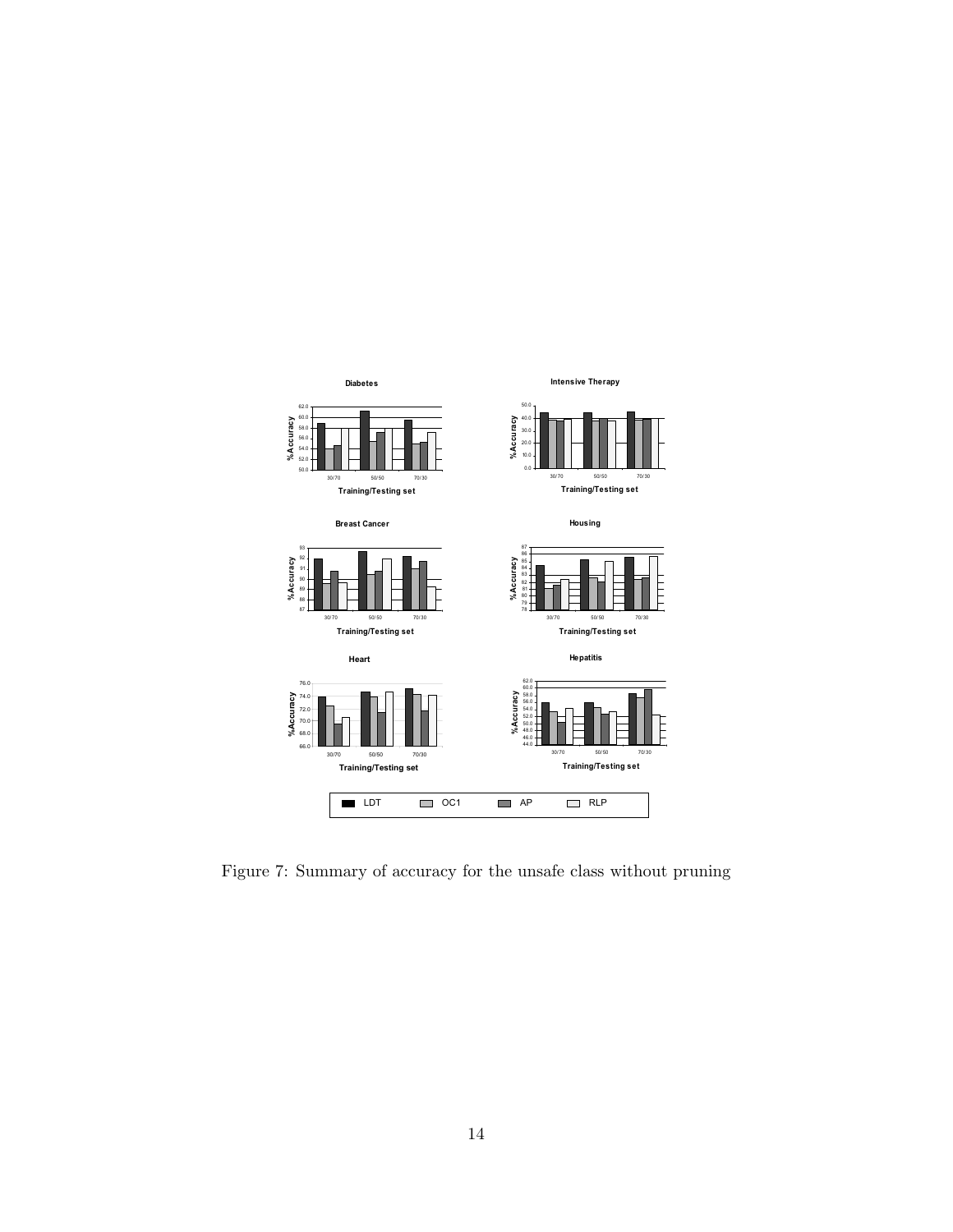

Figure 7: Summary of accuracy for the unsafe class without pruning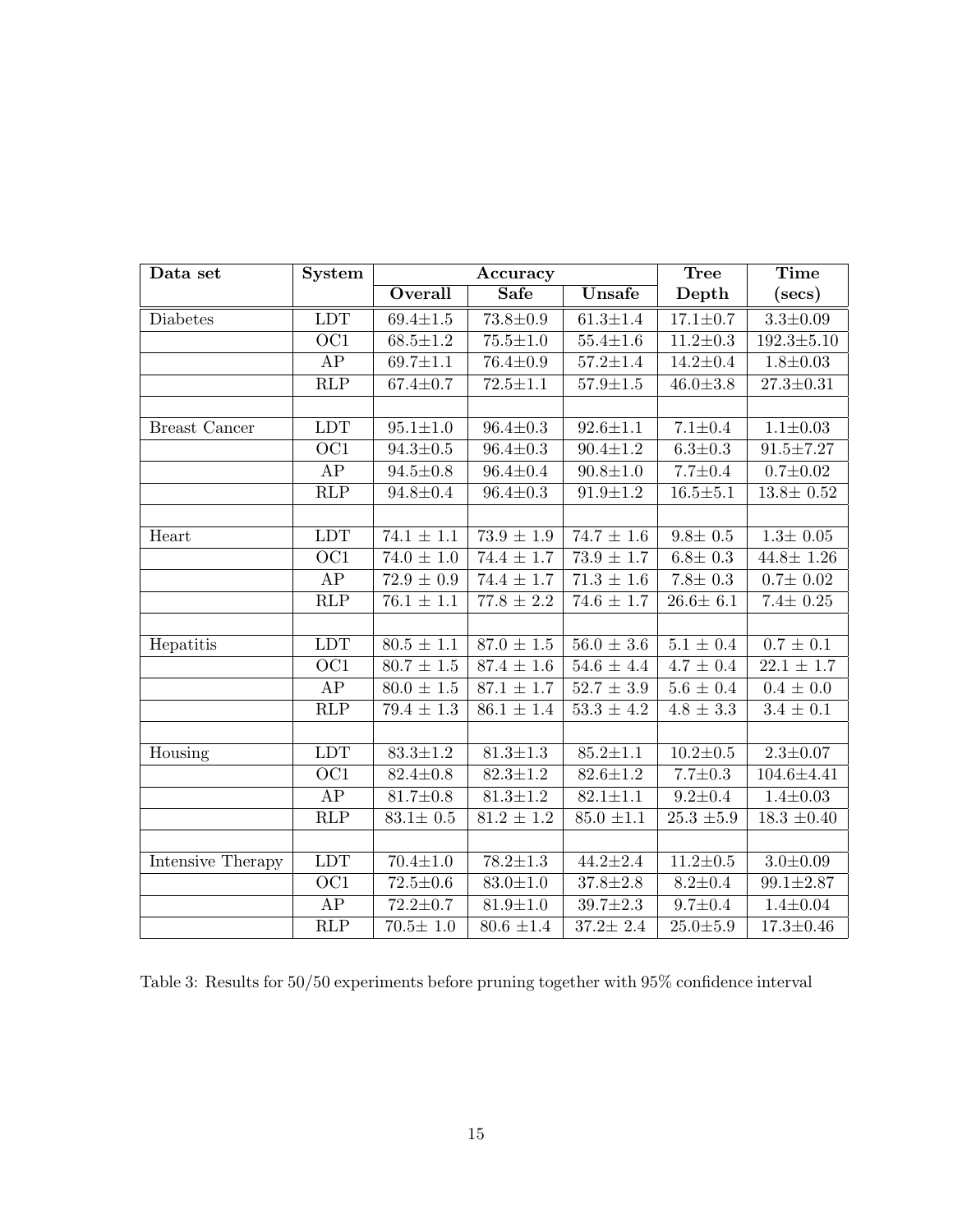| Data set             | <b>System</b>           |                           | Accuracy                  |                           | <b>Tree</b>              | <b>Time</b>               |
|----------------------|-------------------------|---------------------------|---------------------------|---------------------------|--------------------------|---------------------------|
|                      |                         | Overall                   | <b>Safe</b>               | Unsafe                    | Depth                    | $(\sec s)$                |
| Diabetes             | <b>LDT</b>              | $69.4 \pm 1.5$            | $73.8 \pm 0.9$            | $61.3 \pm 1.4$            | $17.1 \pm 0.7$           | $3.3 \pm 0.09$            |
|                      | $\overline{OC1}$        | $68.5 \pm 1.2$            | $75.5 \pm 1.0$            | $55.4 \pm 1.6$            | $11.2 \pm 0.3$           | $192.3 \pm 5.10$          |
|                      | AP                      | $69.7 \pm 1.1$            | $76.4 \pm 0.9$            | $57.2 \pm 1.4$            | $14.2 \pm 0.4$           | $1.8 + 0.03$              |
|                      | $\overline{\text{RLP}}$ | $67.4 \pm 0.7$            | $72.5 \pm 1.1$            | $57.9 \pm 1.5$            | $46.0 \pm 3.8$           | $27.3 \pm 0.31$           |
|                      |                         |                           |                           |                           |                          |                           |
| <b>Breast Cancer</b> | LDT                     | $95.1 \pm 1.0$            | $96.4 \pm 0.3$            | $92.6 \pm 1.1$            | $7.1 \pm 0.4$            | $1.1 \pm 0.03$            |
|                      | $\overline{OC1}$        | $94.3 \pm 0.5$            | $96.4 \pm 0.3$            | $90.4 \pm 1.2$            | $6.3 \pm 0.3$            | $91.5 \pm 7.27$           |
|                      | AP                      | $94.5 \pm 0.8$            | $96.4 \pm 0.4$            | $90.8 + 1.0$              | $7.7 \pm 0.4$            | $0.7 \pm 0.02$            |
|                      | RLP                     | $94.8 \pm 0.4$            | $96.4 \pm 0.3$            | $91.9 \pm 1.2$            | $16.5 \pm 5.1$           | $13.8 \pm 0.52$           |
|                      |                         |                           |                           |                           |                          |                           |
| Heart                | <b>LDT</b>              | $\overline{74.1 \pm 1.1}$ | $\overline{73.9} \pm 1.9$ | $74.7 \pm 1.6$            | $9.8 \pm 0.5$            | $1.3 \pm 0.05$            |
|                      | $\overline{OC1}$        | $74.0 \pm 1.0$            | $74.4 \pm 1.7$            | $73.9 \pm 1.7$            | $6.8 \pm 0.3$            | $44.8 \pm 1.26$           |
|                      | AP                      | $72.9 \pm 0.9$            | $\frac{74.4 \pm 1.7}{2}$  | $\overline{71.3} \pm 1.6$ | $7.8 \pm 0.3$            | $0.7 \pm 0.02$            |
|                      | RLP                     | $76.1 \pm 1.1$            | $77.8 \pm 2.2$            | $74.6 \pm 1.7$            | $26.6 \pm 6.1$           | $7.4 \pm 0.25$            |
|                      |                         |                           |                           |                           |                          |                           |
| Hepatitis            | LDT                     | $80.5 \pm 1.1$            | $87.0 \pm 1.5$            | $56.0 \pm 3.6$            | $5.1 \pm 0.4$            | $0.7 \pm 0.1$             |
|                      | $\overline{OC1}$        | $80.7 \pm 1.5$            | $87.4 \pm 1.6$            | $54.6 \pm 4.4$            | $4.7 \pm 0.4$            | $\overline{22.1 \pm 1.7}$ |
|                      | AP                      | $\overline{80.0} \pm 1.5$ | $\overline{87.1} \pm 1.7$ | $52.7 \pm 3.9$            | $5.6 \pm 0.4$            | $0.4 \pm 0.0$             |
|                      | $\overline{\text{RLP}}$ | $79.4 \pm 1.3$            | $86.1 \pm 1.4$            | $53.3 \pm 4.2$            | $\overline{4.8 \pm 3.3}$ | $3.4 \pm 0.1$             |
|                      |                         |                           |                           |                           |                          |                           |
| Housing              | LDT                     | $83.3 \pm 1.2$            | $81.3 \pm 1.3$            | $85.2 \pm 1.1$            | $10.2 \pm 0.5$           | $2.3 \pm 0.07$            |
|                      | $\overline{OC1}$        | $82.4 \pm 0.8$            | $82.3 \pm 1.2$            | $82.6 \pm 1.2$            | $7.7 \pm 0.3$            | $104.6 \pm 4.41$          |
|                      | AP                      | $81.7 \pm 0.8$            | $81.3 \pm 1.2$            | $82.1 \pm 1.1$            | $9.2 \pm 0.4$            | $1.4 \pm 0.03$            |
|                      | RLP                     | $83.1 \pm 0.5$            | $81.2 \pm 1.2$            | $85.0 \pm 1.1$            | $25.3 \pm 5.9$           | $18.3 \pm 0.40$           |
|                      |                         |                           |                           |                           |                          |                           |
| Intensive Therapy    | LDT                     | $70.4 \pm 1.0$            | $\overline{78.2} \pm 1.3$ | $44.2 \pm 2.4$            | $11.2 \pm 0.5$           | $3.0 \pm 0.09$            |
|                      | $\overline{OC1}$        | $72.5 \pm 0.6$            | $83.0 \pm 1.0$            | $37.8 \pm 2.8$            | $8.2 \pm 0.4$            | $99.1 \pm 2.87$           |
|                      | AP                      | $72.2 \pm 0.7$            | $81.9 \pm 1.0$            | $39.7 \pm 2.3$            | $9.7 \pm 0.4$            | $1.4 \pm 0.04$            |
|                      | $\overline{\text{RLP}}$ | $70.5 \pm 1.0$            | $80.6 \pm 1.4$            | $37.2 \pm 2.4$            | $25.0 + 5.9$             | $17.3 \pm 0.46$           |

Table 3: Results for 50/50 experiments before pruning together with 95% confidence interval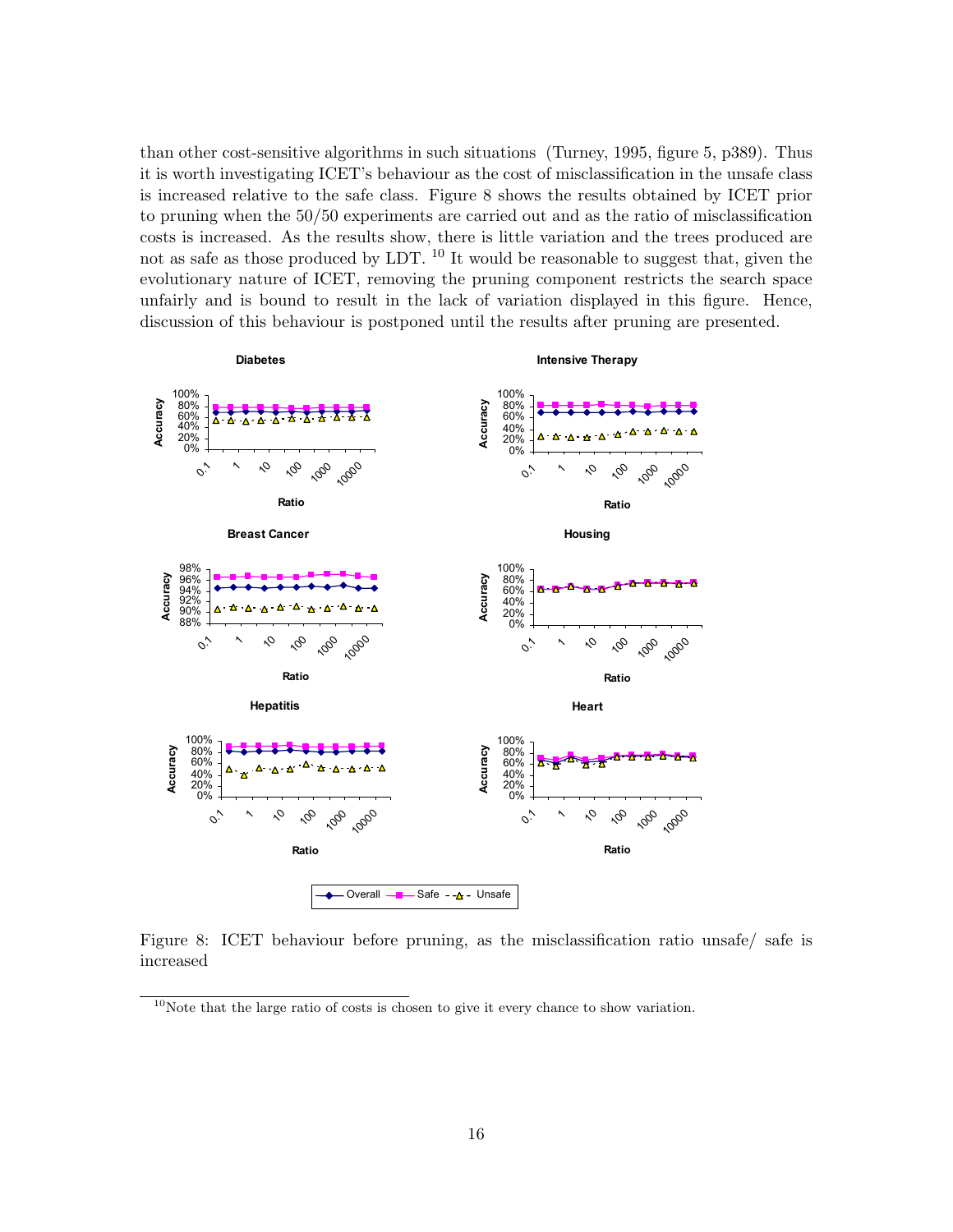than other cost-sensitive algorithms in such situations (Turney, 1995, figure 5, p389). Thus it is worth investigating ICET's behaviour as the cost of misclassification in the unsafe class is increased relative to the safe class. Figure 8 shows the results obtained by ICET prior to pruning when the 50/50 experiments are carried out and as the ratio of misclassification costs is increased. As the results show, there is little variation and the trees produced are not as safe as those produced by LDT.  $^{10}$  It would be reasonable to suggest that, given the evolutionary nature of ICET, removing the pruning component restricts the search space unfairly and is bound to result in the lack of variation displayed in this figure. Hence, discussion of this behaviour is postponed until the results after pruning are presented.



Figure 8: ICET behaviour before pruning, as the misclassification ratio unsafe/ safe is increased

 $10$ Note that the large ratio of costs is chosen to give it every chance to show variation.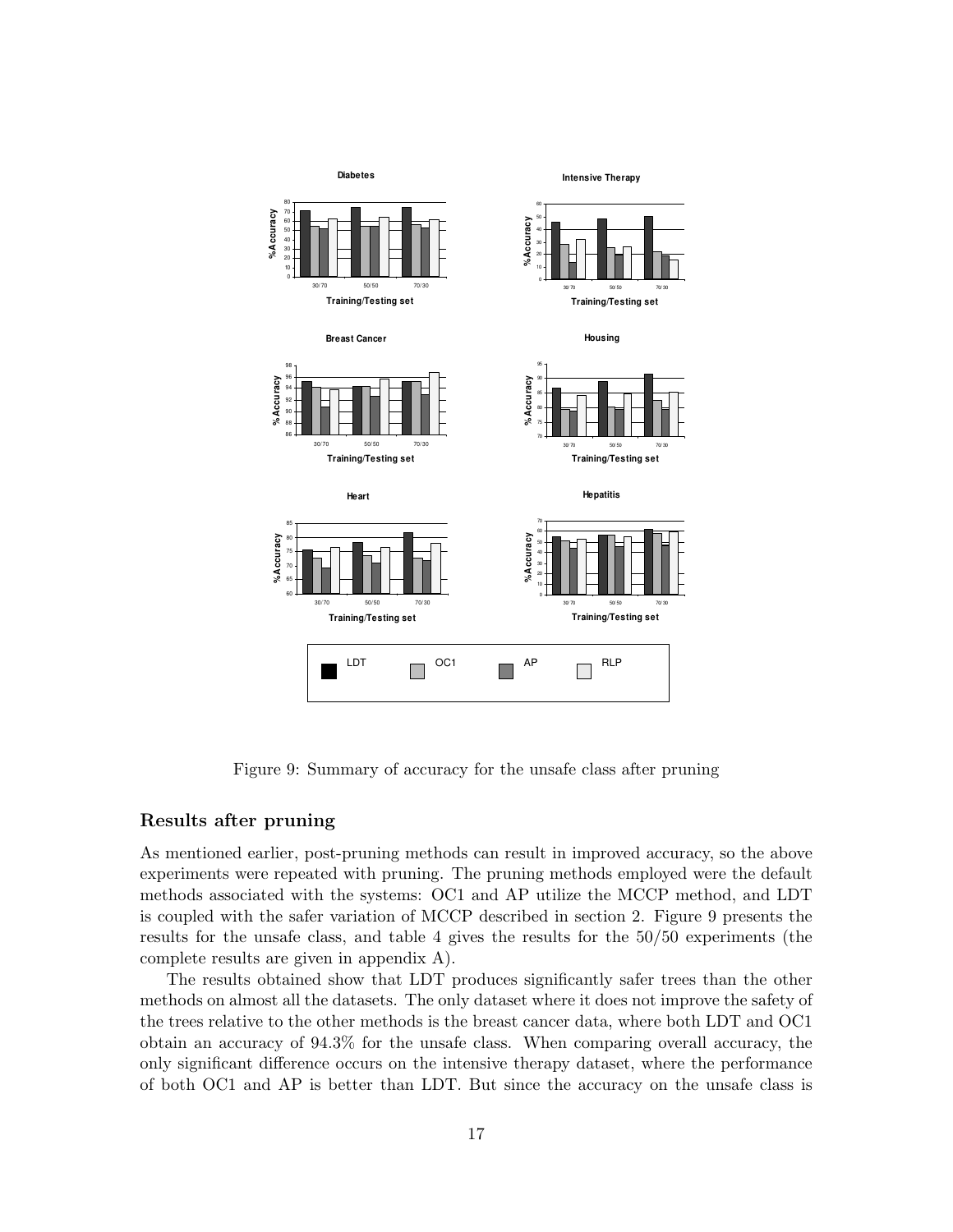

Figure 9: Summary of accuracy for the unsafe class after pruning

#### Results after pruning

As mentioned earlier, post-pruning methods can result in improved accuracy, so the above experiments were repeated with pruning. The pruning methods employed were the default methods associated with the systems: OC1 and AP utilize the MCCP method, and LDT is coupled with the safer variation of MCCP described in section 2. Figure 9 presents the results for the unsafe class, and table 4 gives the results for the 50/50 experiments (the complete results are given in appendix A).

The results obtained show that LDT produces significantly safer trees than the other methods on almost all the datasets. The only dataset where it does not improve the safety of the trees relative to the other methods is the breast cancer data, where both LDT and OC1 obtain an accuracy of 94.3% for the unsafe class. When comparing overall accuracy, the only significant difference occurs on the intensive therapy dataset, where the performance of both OC1 and AP is better than LDT. But since the accuracy on the unsafe class is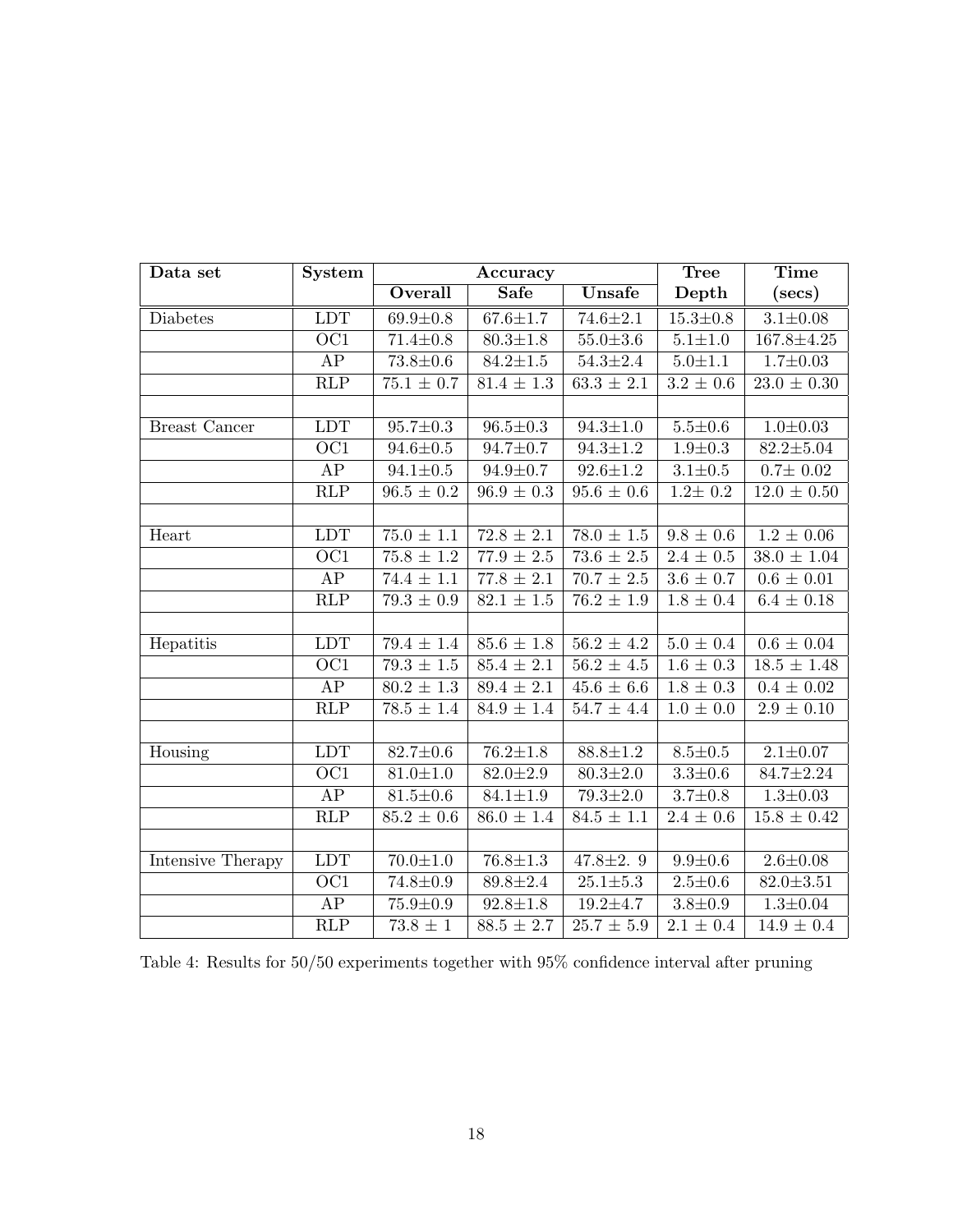| Data set             | System                  |                           | Accuracy                  |                           | <b>Tree</b>    | <b>Time</b>                |
|----------------------|-------------------------|---------------------------|---------------------------|---------------------------|----------------|----------------------------|
|                      |                         | Overall                   | <b>Safe</b>               | <b>Unsafe</b>             | Depth          | (secs)                     |
| Diabetes             | <b>LDT</b>              | $69.9 \pm 0.8$            | $67.6 \pm 1.7$            | $74.6 \pm 2.1$            | $15.3 \pm 0.8$ | $3.1 \pm 0.08$             |
|                      | $\overline{OC1}$        | $71.4 \pm 0.8$            | $80.3 \pm 1.8$            | $55.0 \pm 3.6$            | $5.1 + 1.0$    | $167.8 \pm 4.25$           |
|                      | AP                      | $73.8 \pm 0.6$            | $84.2 \pm 1.5$            | $54.3 \pm 2.4$            | $5.0 + 1.1$    | $1.7 \pm 0.03$             |
|                      | $\overline{\text{RLP}}$ | $75.1 \pm 0.7$            | $81.4 \pm 1.3$            | $63.3 \pm 2.1$            | $3.2 \pm 0.6$  | $23.0 \pm 0.30$            |
|                      |                         |                           |                           |                           |                |                            |
| <b>Breast Cancer</b> | <b>LDT</b>              | $95.7 \pm 0.3$            | $96.5 \pm 0.3$            | $94.3 \pm 1.0$            | $5.5 \pm 0.6$  | $1.0 + 0.03$               |
|                      | $\overline{OC1}$        | $94.6 \pm 0.5$            | $94.7 \pm 0.7$            | $94.3 \pm 1.2$            | $1.9 \pm 0.3$  | $82.2 \pm 5.04$            |
|                      | AP                      | $94.1 \pm 0.5$            | $94.9 \pm 0.7$            | $92.6 \pm 1.2$            | $3.1 + 0.5$    | $0.7 \pm 0.02$             |
|                      | RLP                     | $96.5 \pm 0.2$            | $96.9 \pm 0.3$            | $95.6 \pm 0.6$            | $1.2 \pm 0.2$  | $12.0 \pm 0.50$            |
|                      |                         |                           |                           |                           |                |                            |
| Heart                | LDT                     | $\overline{75.0} \pm 1.1$ | $72.8 \pm 2.1$            | $\overline{78.0} \pm 1.5$ | $9.8 \pm 0.6$  | $1.2 \pm 0.06$             |
|                      | OC1                     | $\overline{75.8} \pm 1.2$ | $\overline{77.9 \pm 2.5}$ | $\overline{73.6} \pm 2.5$ | $2.4 \pm 0.5$  | $\overline{38.0 \pm 1.04}$ |
|                      | AP                      | $\overline{74.4} \pm 1.1$ | $77.8 \pm 2.1$            | $\overline{70.7} \pm 2.5$ | $3.6 \pm 0.7$  | $0.6 \pm 0.01$             |
|                      | $\overline{\text{RLP}}$ | $\overline{79.3 \pm 0.9}$ | $82.1 \pm 1.5$            | $76.2 \pm 1.9$            | $1.8 \pm 0.4$  | $6.4 \pm 0.18$             |
|                      |                         |                           |                           |                           |                |                            |
| Hepatitis            | LDT                     | $79.4 \pm 1.4$            | $85.6 \pm 1.8$            | $56.2 \pm 4.2$            | $5.0 \pm 0.4$  | $0.6 \pm 0.04$             |
|                      | $\overline{OC1}$        | $79.3 \pm 1.5$            | $85.4 \pm 2.1$            | $56.2 \pm 4.5$            | $1.6 \pm 0.3$  | $18.5 \pm 1.48$            |
|                      | ${\rm AP}$              | $80.2 \pm 1.3$            | $89.4 \pm 2.1$            | $45.6 \pm 6.6$            | $1.8 \pm 0.3$  | $0.4 \pm 0.02$             |
|                      | $\overline{\text{RLP}}$ | $78.5 \pm 1.4$            | $84.9 \pm 1.4$            | $54.7 \pm 4.4$            | $1.0 \pm 0.0$  | $2.9 \pm 0.10$             |
|                      |                         |                           |                           |                           |                |                            |
| Housing              | LDT                     | $82.7 \pm 0.6$            | $76.2 \pm 1.8$            | $88.8 \pm 1.2$            | $8.5 \pm 0.5$  | $2.1 \pm 0.07$             |
|                      | $\overline{OC1}$        | $81.0 \pm 1.0$            | $82.0 \pm 2.9$            | $80.3 \pm 2.0$            | $3.3 \pm 0.6$  | $84.7 \pm 2.24$            |
|                      | ${\rm AP}$              | $81.5 \pm 0.6$            | $84.1 \pm 1.9$            | $\overline{79.3} \pm 2.0$ | $3.7 \pm 0.8$  | $1.3 + 0.03$               |
|                      | $\overline{\text{RLP}}$ | $85.2 \pm 0.6$            | $86.0 \pm 1.4$            | $84.5 \pm 1.1$            | $2.4 \pm 0.6$  | $15.8 \pm 0.42$            |
|                      |                         |                           |                           |                           |                |                            |
| Intensive Therapy    | LDT                     | $70.0 + 1.0$              | $76.8 \pm 1.3$            | 47.8 $\pm 2.9$            | $9.9 + 0.6$    | $2.6 \pm 0.08$             |
|                      | $\overline{OC1}$        | $74.8 \pm 0.9$            | $89.8 \pm 2.4$            | $25.1 + 5.3$              | $2.5 \pm 0.6$  | $82.0 \pm 3.51$            |
|                      | ${\rm AP}$              | $75.9 \pm 0.9$            | $92.8 \pm 1.8$            | $19.2 + 4.7$              | $3.8 + 0.9$    | $1.3{\pm}0.04$             |
|                      | RLP                     | $73.8 \pm 1$              | $88.5 \pm 2.7$            | $25.7 \pm 5.9$            | $2.1 \pm 0.4$  | $14.9 \pm 0.4$             |

Table 4: Results for  $50/50$  experiments together with  $95\%$  confidence interval after pruning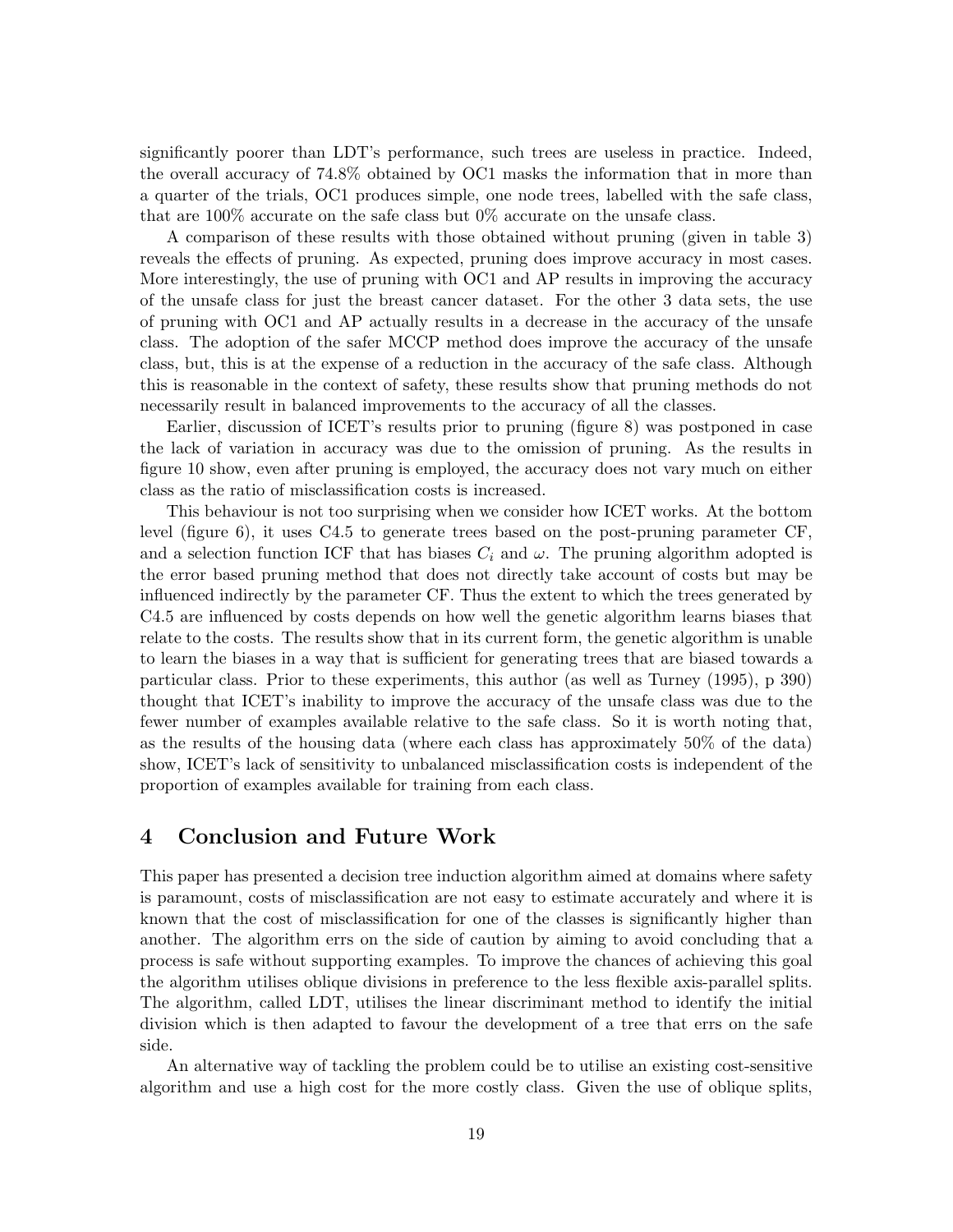significantly poorer than LDT's performance, such trees are useless in practice. Indeed, the overall accuracy of 74.8% obtained by OC1 masks the information that in more than a quarter of the trials, OC1 produces simple, one node trees, labelled with the safe class, that are 100% accurate on the safe class but 0% accurate on the unsafe class.

A comparison of these results with those obtained without pruning (given in table 3) reveals the effects of pruning. As expected, pruning does improve accuracy in most cases. More interestingly, the use of pruning with OC1 and AP results in improving the accuracy of the unsafe class for just the breast cancer dataset. For the other 3 data sets, the use of pruning with OC1 and AP actually results in a decrease in the accuracy of the unsafe class. The adoption of the safer MCCP method does improve the accuracy of the unsafe class, but, this is at the expense of a reduction in the accuracy of the safe class. Although this is reasonable in the context of safety, these results show that pruning methods do not necessarily result in balanced improvements to the accuracy of all the classes.

Earlier, discussion of ICET's results prior to pruning (figure 8) was postponed in case the lack of variation in accuracy was due to the omission of pruning. As the results in figure 10 show, even after pruning is employed, the accuracy does not vary much on either class as the ratio of misclassification costs is increased.

This behaviour is not too surprising when we consider how ICET works. At the bottom level (figure 6), it uses C4.5 to generate trees based on the post-pruning parameter CF, and a selection function ICF that has biases  $C_i$  and  $\omega$ . The pruning algorithm adopted is the error based pruning method that does not directly take account of costs but may be influenced indirectly by the parameter CF. Thus the extent to which the trees generated by C4.5 are influenced by costs depends on how well the genetic algorithm learns biases that relate to the costs. The results show that in its current form, the genetic algorithm is unable to learn the biases in a way that is sufficient for generating trees that are biased towards a particular class. Prior to these experiments, this author (as well as Turney (1995), p 390) thought that ICET's inability to improve the accuracy of the unsafe class was due to the fewer number of examples available relative to the safe class. So it is worth noting that, as the results of the housing data (where each class has approximately 50% of the data) show, ICET's lack of sensitivity to unbalanced misclassification costs is independent of the proportion of examples available for training from each class.

## 4 Conclusion and Future Work

This paper has presented a decision tree induction algorithm aimed at domains where safety is paramount, costs of misclassification are not easy to estimate accurately and where it is known that the cost of misclassification for one of the classes is significantly higher than another. The algorithm errs on the side of caution by aiming to avoid concluding that a process is safe without supporting examples. To improve the chances of achieving this goal the algorithm utilises oblique divisions in preference to the less flexible axis-parallel splits. The algorithm, called LDT, utilises the linear discriminant method to identify the initial division which is then adapted to favour the development of a tree that errs on the safe side.

An alternative way of tackling the problem could be to utilise an existing cost-sensitive algorithm and use a high cost for the more costly class. Given the use of oblique splits,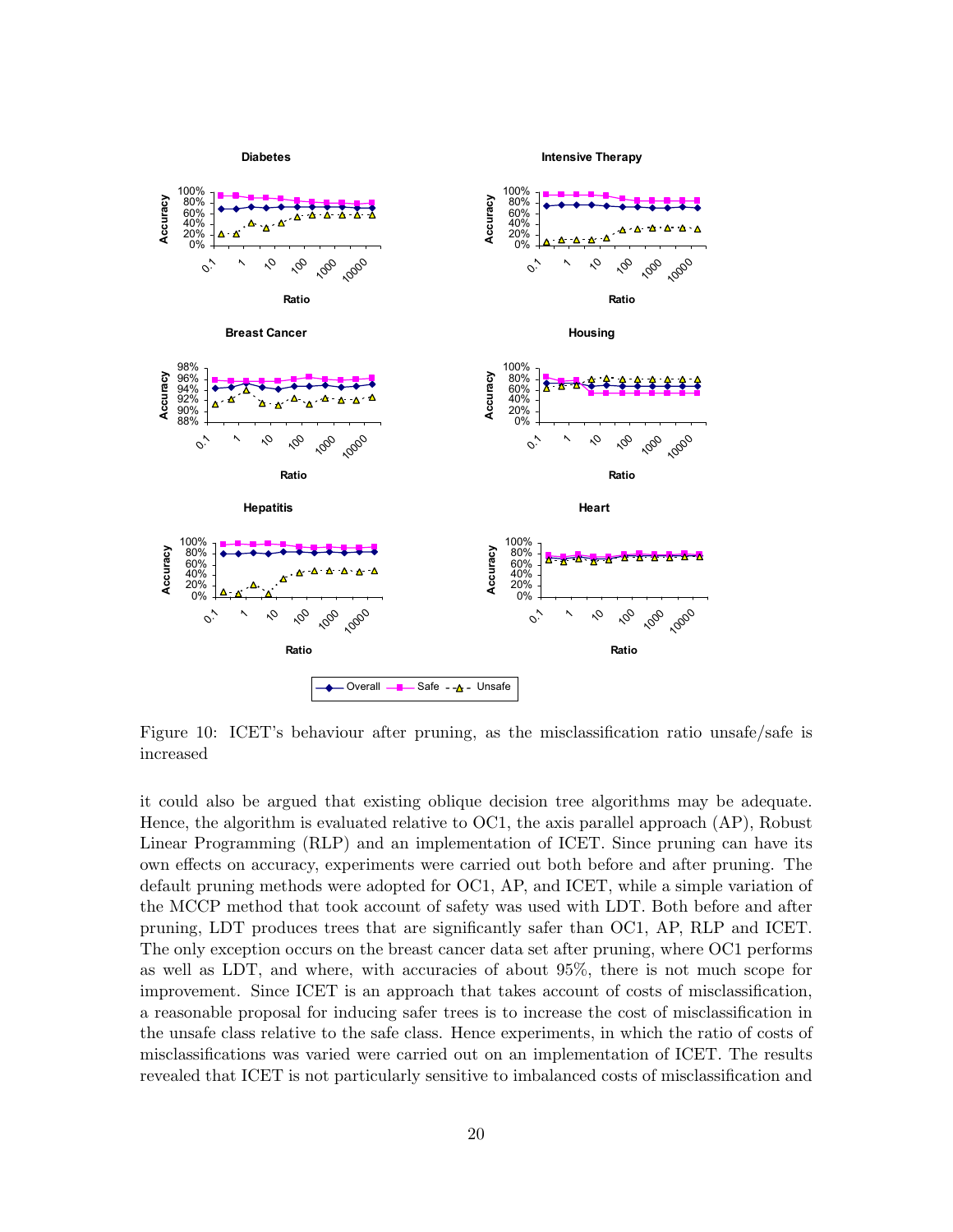

Figure 10: ICET's behaviour after pruning, as the misclassification ratio unsafe/safe is increased

it could also be argued that existing oblique decision tree algorithms may be adequate. Hence, the algorithm is evaluated relative to OC1, the axis parallel approach (AP), Robust Linear Programming (RLP) and an implementation of ICET. Since pruning can have its own effects on accuracy, experiments were carried out both before and after pruning. The default pruning methods were adopted for OC1, AP, and ICET, while a simple variation of the MCCP method that took account of safety was used with LDT. Both before and after pruning, LDT produces trees that are significantly safer than OC1, AP, RLP and ICET. The only exception occurs on the breast cancer data set after pruning, where OC1 performs as well as LDT, and where, with accuracies of about 95%, there is not much scope for improvement. Since ICET is an approach that takes account of costs of misclassification, a reasonable proposal for inducing safer trees is to increase the cost of misclassification in the unsafe class relative to the safe class. Hence experiments, in which the ratio of costs of misclassifications was varied were carried out on an implementation of ICET. The results revealed that ICET is not particularly sensitive to imbalanced costs of misclassification and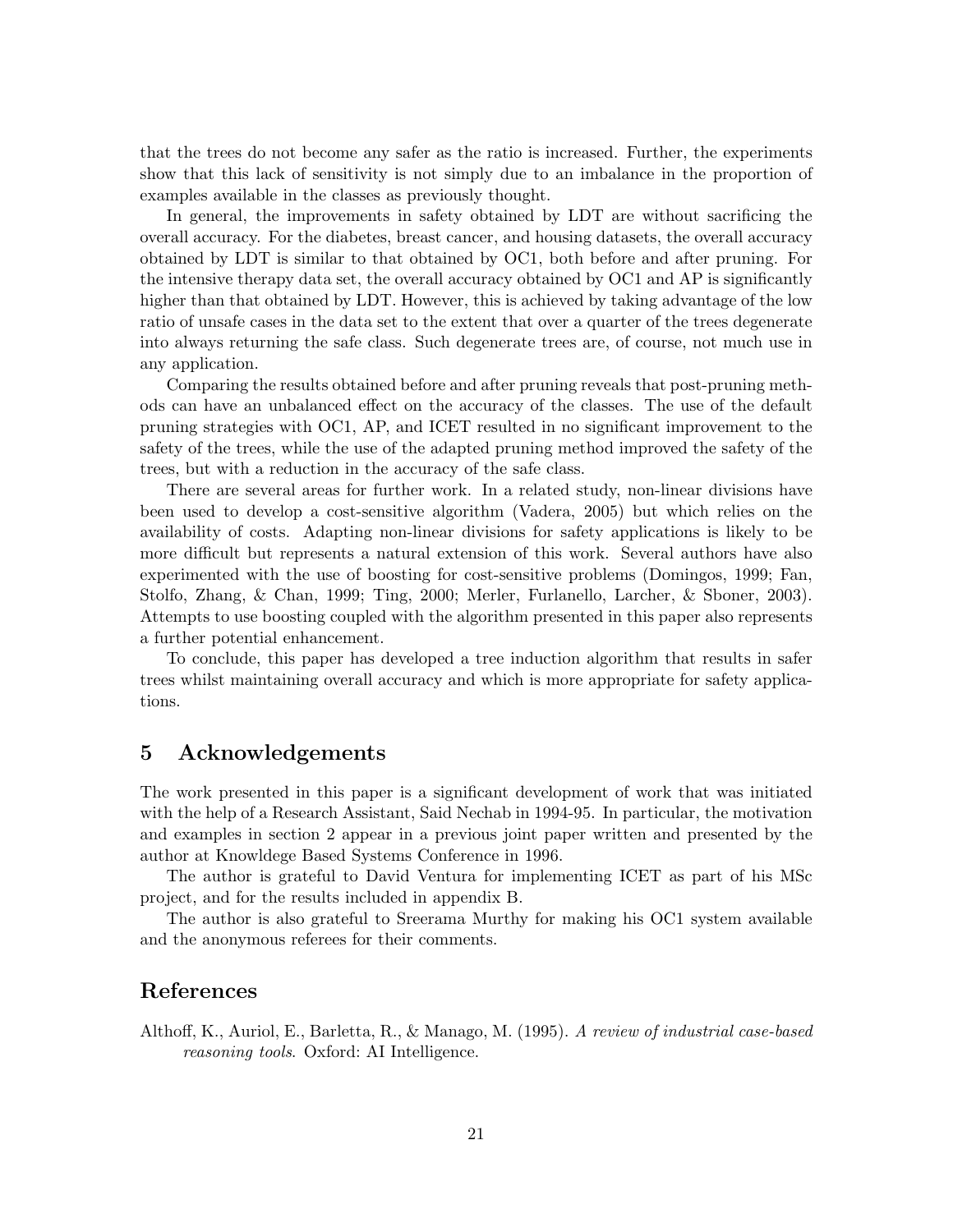that the trees do not become any safer as the ratio is increased. Further, the experiments show that this lack of sensitivity is not simply due to an imbalance in the proportion of examples available in the classes as previously thought.

In general, the improvements in safety obtained by LDT are without sacrificing the overall accuracy. For the diabetes, breast cancer, and housing datasets, the overall accuracy obtained by LDT is similar to that obtained by OC1, both before and after pruning. For the intensive therapy data set, the overall accuracy obtained by OC1 and AP is significantly higher than that obtained by LDT. However, this is achieved by taking advantage of the low ratio of unsafe cases in the data set to the extent that over a quarter of the trees degenerate into always returning the safe class. Such degenerate trees are, of course, not much use in any application.

Comparing the results obtained before and after pruning reveals that post-pruning methods can have an unbalanced effect on the accuracy of the classes. The use of the default pruning strategies with OC1, AP, and ICET resulted in no significant improvement to the safety of the trees, while the use of the adapted pruning method improved the safety of the trees, but with a reduction in the accuracy of the safe class.

There are several areas for further work. In a related study, non-linear divisions have been used to develop a cost-sensitive algorithm (Vadera, 2005) but which relies on the availability of costs. Adapting non-linear divisions for safety applications is likely to be more difficult but represents a natural extension of this work. Several authors have also experimented with the use of boosting for cost-sensitive problems (Domingos, 1999; Fan, Stolfo, Zhang, & Chan, 1999; Ting, 2000; Merler, Furlanello, Larcher, & Sboner, 2003). Attempts to use boosting coupled with the algorithm presented in this paper also represents a further potential enhancement.

To conclude, this paper has developed a tree induction algorithm that results in safer trees whilst maintaining overall accuracy and which is more appropriate for safety applications.

## 5 Acknowledgements

The work presented in this paper is a significant development of work that was initiated with the help of a Research Assistant, Said Nechab in 1994-95. In particular, the motivation and examples in section 2 appear in a previous joint paper written and presented by the author at Knowldege Based Systems Conference in 1996.

The author is grateful to David Ventura for implementing ICET as part of his MSc project, and for the results included in appendix B.

The author is also grateful to Sreerama Murthy for making his OC1 system available and the anonymous referees for their comments.

## References

Althoff, K., Auriol, E., Barletta, R., & Manago, M. (1995). A review of industrial case-based reasoning tools. Oxford: AI Intelligence.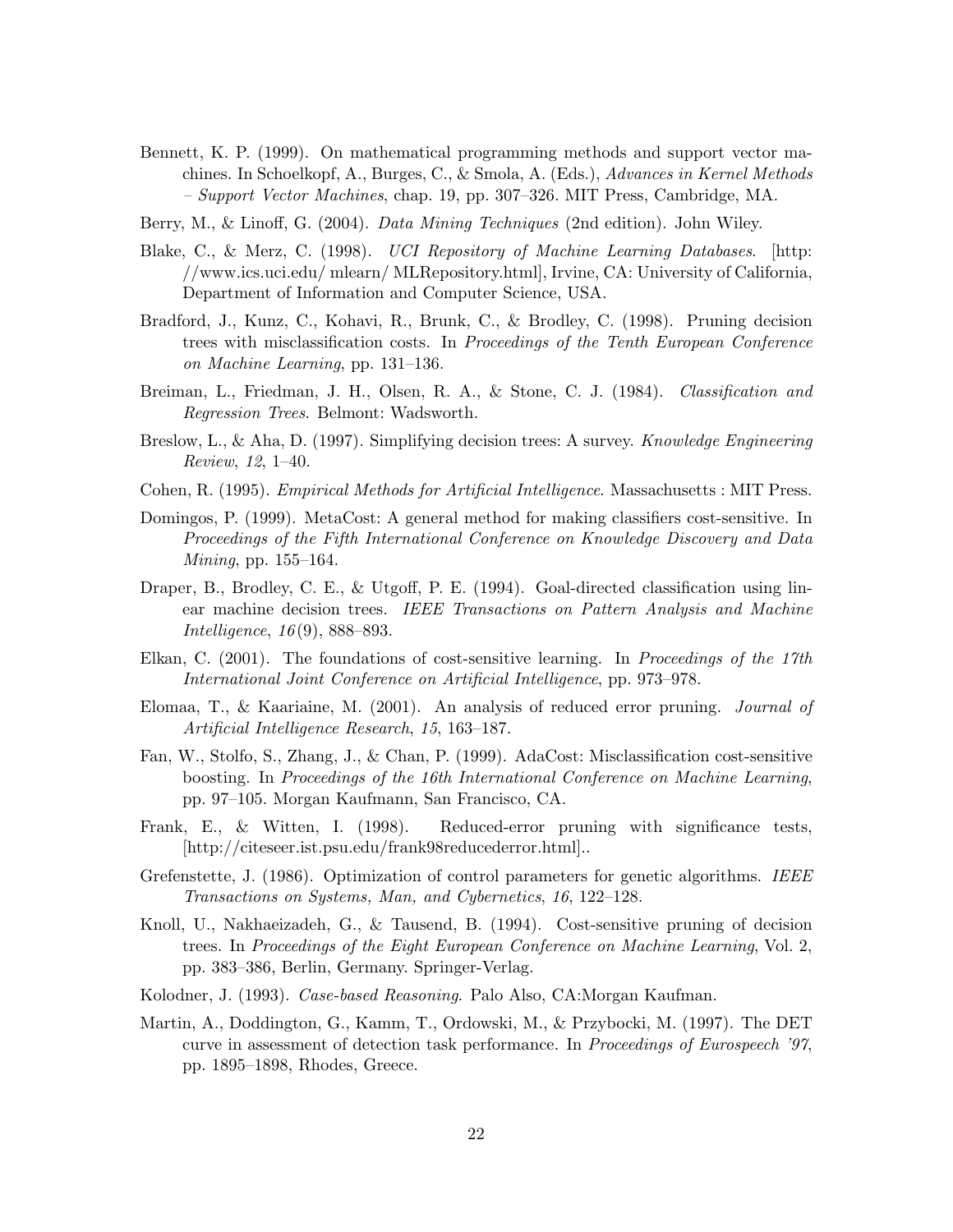- Bennett, K. P. (1999). On mathematical programming methods and support vector machines. In Schoelkopf, A., Burges, C., & Smola, A. (Eds.), Advances in Kernel Methods – Support Vector Machines, chap. 19, pp. 307–326. MIT Press, Cambridge, MA.
- Berry, M., & Linoff, G. (2004). *Data Mining Techniques* (2nd edition). John Wiley.
- Blake, C., & Merz, C. (1998). UCI Repository of Machine Learning Databases. [http: //www.ics.uci.edu/ mlearn/ MLRepository.html], Irvine, CA: University of California, Department of Information and Computer Science, USA.
- Bradford, J., Kunz, C., Kohavi, R., Brunk, C., & Brodley, C. (1998). Pruning decision trees with misclassification costs. In Proceedings of the Tenth European Conference on Machine Learning, pp. 131–136.
- Breiman, L., Friedman, J. H., Olsen, R. A., & Stone, C. J. (1984). Classification and Regression Trees. Belmont: Wadsworth.
- Breslow, L., & Aha, D. (1997). Simplifying decision trees: A survey. *Knowledge Engineering* Review, 12, 1–40.
- Cohen, R. (1995). Empirical Methods for Artificial Intelligence. Massachusetts : MIT Press.
- Domingos, P. (1999). MetaCost: A general method for making classifiers cost-sensitive. In Proceedings of the Fifth International Conference on Knowledge Discovery and Data Mining, pp. 155–164.
- Draper, B., Brodley, C. E., & Utgoff, P. E. (1994). Goal-directed classification using linear machine decision trees. IEEE Transactions on Pattern Analysis and Machine Intelligence, 16 (9), 888–893.
- Elkan, C. (2001). The foundations of cost-sensitive learning. In Proceedings of the 17th International Joint Conference on Artificial Intelligence, pp. 973–978.
- Elomaa, T., & Kaariaine, M. (2001). An analysis of reduced error pruning. Journal of Artificial Intelligence Research, 15, 163–187.
- Fan, W., Stolfo, S., Zhang, J., & Chan, P. (1999). AdaCost: Misclassification cost-sensitive boosting. In Proceedings of the 16th International Conference on Machine Learning, pp. 97–105. Morgan Kaufmann, San Francisco, CA.
- Frank, E., & Witten, I. (1998). Reduced-error pruning with significance tests, [http://citeseer.ist.psu.edu/frank98reducederror.html]..
- Grefenstette, J. (1986). Optimization of control parameters for genetic algorithms. IEEE Transactions on Systems, Man, and Cybernetics, 16, 122–128.
- Knoll, U., Nakhaeizadeh, G., & Tausend, B. (1994). Cost-sensitive pruning of decision trees. In Proceedings of the Eight European Conference on Machine Learning, Vol. 2, pp. 383–386, Berlin, Germany. Springer-Verlag.
- Kolodner, J. (1993). Case-based Reasoning. Palo Also, CA:Morgan Kaufman.
- Martin, A., Doddington, G., Kamm, T., Ordowski, M., & Przybocki, M. (1997). The DET curve in assessment of detection task performance. In Proceedings of Eurospeech '97, pp. 1895–1898, Rhodes, Greece.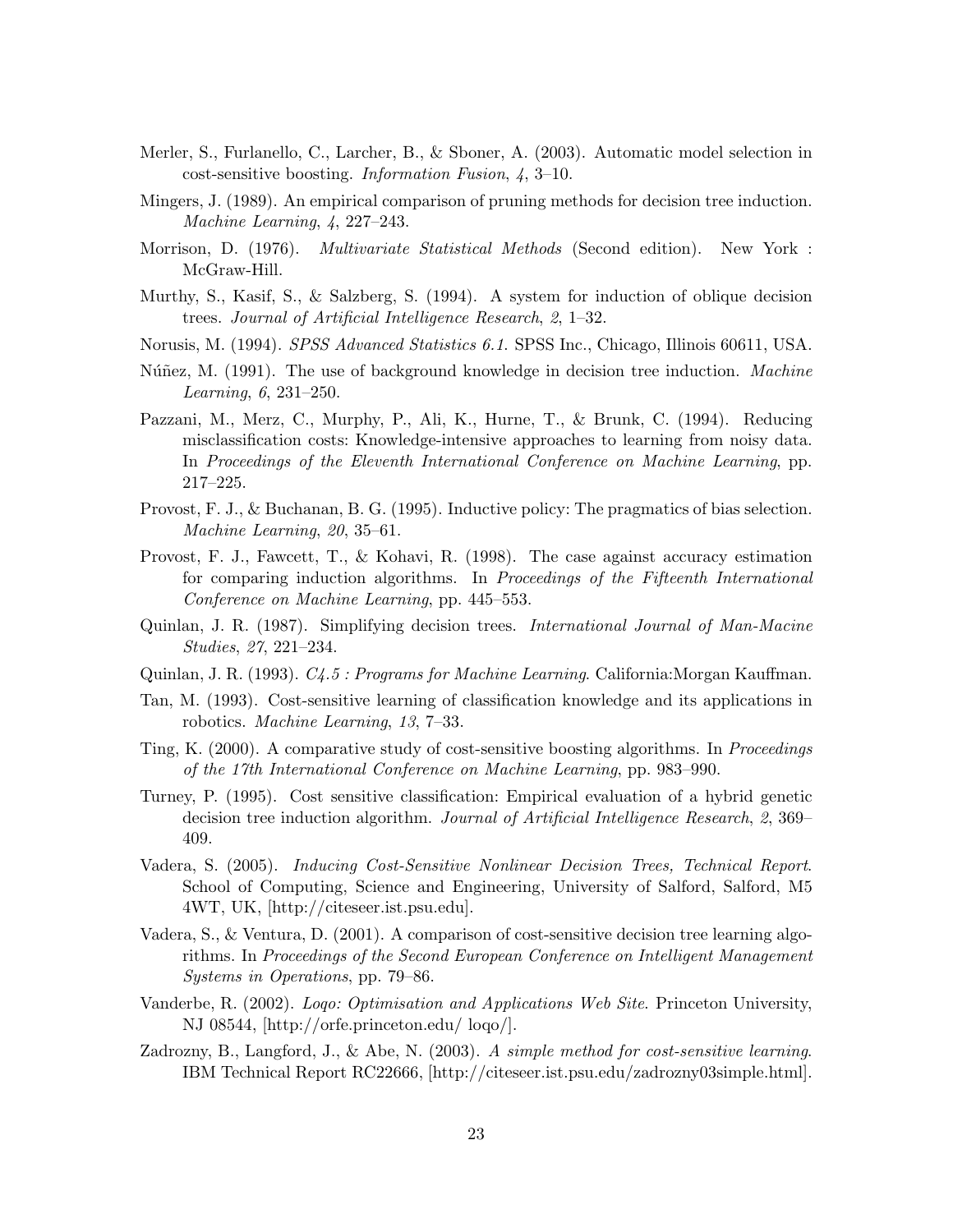- Merler, S., Furlanello, C., Larcher, B., & Sboner, A. (2003). Automatic model selection in cost-sensitive boosting. Information Fusion, 4, 3–10.
- Mingers, J. (1989). An empirical comparison of pruning methods for decision tree induction. Machine Learning, 4, 227–243.
- Morrison, D. (1976). *Multivariate Statistical Methods* (Second edition). New York : McGraw-Hill.
- Murthy, S., Kasif, S., & Salzberg, S. (1994). A system for induction of oblique decision trees. Journal of Artificial Intelligence Research, 2, 1–32.
- Norusis, M. (1994). *SPSS Advanced Statistics 6.1*. SPSS Inc., Chicago, Illinois 60611, USA.
- Núñez, M. (1991). The use of background knowledge in decision tree induction. *Machine* Learning, 6, 231–250.
- Pazzani, M., Merz, C., Murphy, P., Ali, K., Hurne, T., & Brunk, C. (1994). Reducing misclassification costs: Knowledge-intensive approaches to learning from noisy data. In Proceedings of the Eleventh International Conference on Machine Learning, pp. 217–225.
- Provost, F. J., & Buchanan, B. G. (1995). Inductive policy: The pragmatics of bias selection. Machine Learning, 20, 35–61.
- Provost, F. J., Fawcett, T., & Kohavi, R. (1998). The case against accuracy estimation for comparing induction algorithms. In Proceedings of the Fifteenth International Conference on Machine Learning, pp. 445–553.
- Quinlan, J. R. (1987). Simplifying decision trees. International Journal of Man-Macine Studies, 27, 221–234.
- Quinlan, J. R. (1993). C4.5 : Programs for Machine Learning. California:Morgan Kauffman.
- Tan, M. (1993). Cost-sensitive learning of classification knowledge and its applications in robotics. Machine Learning, 13, 7–33.
- Ting, K. (2000). A comparative study of cost-sensitive boosting algorithms. In Proceedings of the 17th International Conference on Machine Learning, pp. 983–990.
- Turney, P. (1995). Cost sensitive classification: Empirical evaluation of a hybrid genetic decision tree induction algorithm. Journal of Artificial Intelligence Research, 2, 369– 409.
- Vadera, S. (2005). Inducing Cost-Sensitive Nonlinear Decision Trees, Technical Report. School of Computing, Science and Engineering, University of Salford, Salford, M5 4WT, UK, [http://citeseer.ist.psu.edu].
- Vadera, S., & Ventura, D. (2001). A comparison of cost-sensitive decision tree learning algorithms. In Proceedings of the Second European Conference on Intelligent Management Systems in Operations, pp. 79–86.
- Vanderbe, R. (2002). Logo: Optimisation and Applications Web Site. Princeton University, NJ 08544, [http://orfe.princeton.edu/ loqo/].
- Zadrozny, B., Langford, J., & Abe, N. (2003). A simple method for cost-sensitive learning. IBM Technical Report RC22666, [http://citeseer.ist.psu.edu/zadrozny03simple.html].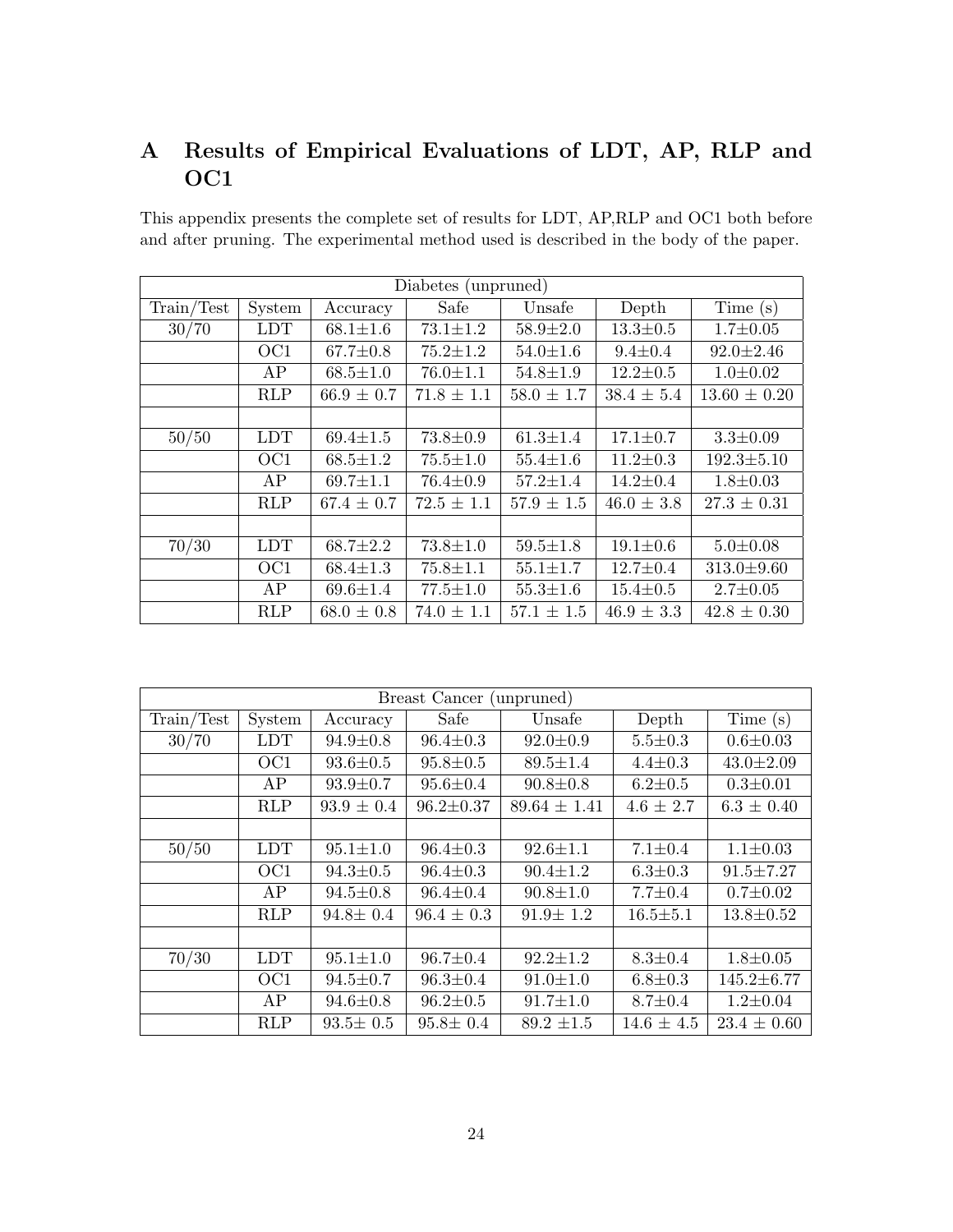# A Results of Empirical Evaluations of LDT, AP, RLP and OC1

This appendix presents the complete set of results for LDT, AP,RLP and OC1 both before and after pruning. The experimental method used is described in the body of the paper.

| Diabetes (unpruned) |                 |                |                |                |                |                  |  |  |  |
|---------------------|-----------------|----------------|----------------|----------------|----------------|------------------|--|--|--|
| Train/Test          | System          | Accuracy       | Safe           | Unsafe         | Depth          | Time $(s)$       |  |  |  |
| 30/70               | <b>LDT</b>      | $68.1 \pm 1.6$ | $73.1 \pm 1.2$ | $58.9 \pm 2.0$ | $13.3 \pm 0.5$ | $1.7 \pm 0.05$   |  |  |  |
|                     | OC1             | $67.7 \pm 0.8$ | $75.2 \pm 1.2$ | $54.0 \pm 1.6$ | $9.4 \pm 0.4$  | $92.0 \pm 2.46$  |  |  |  |
|                     | AP              | $68.5 \pm 1.0$ | $76.0 \pm 1.1$ | $54.8 \pm 1.9$ | $12.2 \pm 0.5$ | $1.0 \pm 0.02$   |  |  |  |
|                     | RLP             | $66.9 \pm 0.7$ | $71.8 \pm 1.1$ | $58.0 \pm 1.7$ | $38.4 \pm 5.4$ | $13.60 \pm 0.20$ |  |  |  |
|                     |                 |                |                |                |                |                  |  |  |  |
| 50/50               | <b>LDT</b>      | $69.4 \pm 1.5$ | $73.8 \pm 0.9$ | $61.3 \pm 1.4$ | $17.1 \pm 0.7$ | $3.3 \pm 0.09$   |  |  |  |
|                     | OC <sub>1</sub> | $68.5 \pm 1.2$ | $75.5 \pm 1.0$ | $55.4 \pm 1.6$ | $11.2 \pm 0.3$ | $192.3 \pm 5.10$ |  |  |  |
|                     | AP              | $69.7 \pm 1.1$ | $76.4 \pm 0.9$ | $57.2 \pm 1.4$ | $14.2 \pm 0.4$ | $1.8 \pm 0.03$   |  |  |  |
|                     | <b>RLP</b>      | $67.4 \pm 0.7$ | $72.5 \pm 1.1$ | $57.9 \pm 1.5$ | $46.0 \pm 3.8$ | $27.3 \pm 0.31$  |  |  |  |
|                     |                 |                |                |                |                |                  |  |  |  |
| 70/30               | <b>LDT</b>      | $68.7 \pm 2.2$ | $73.8 \pm 1.0$ | $59.5 \pm 1.8$ | $19.1 \pm 0.6$ | $5.0 \pm 0.08$   |  |  |  |
|                     | OC1             | $68.4 \pm 1.3$ | $75.8 \pm 1.1$ | $55.1 \pm 1.7$ | $12.7 \pm 0.4$ | $313.0 \pm 9.60$ |  |  |  |
|                     | AP              | $69.6 \pm 1.4$ | $77.5 \pm 1.0$ | $55.3 \pm 1.6$ | $15.4 \pm 0.5$ | $2.7 \pm 0.05$   |  |  |  |
|                     | <b>RLP</b>      | $68.0 \pm 0.8$ | $74.0 \pm 1.1$ | $57.1 \pm 1.5$ | $46.9 \pm 3.3$ | $42.8 \pm 0.30$  |  |  |  |

| Breast Cancer (unpruned) |                 |                |                 |                  |                |                  |  |  |  |  |
|--------------------------|-----------------|----------------|-----------------|------------------|----------------|------------------|--|--|--|--|
| Train/Test               | System          | Accuracy       | Safe            | Unsafe           | Depth          | Time $(s)$       |  |  |  |  |
| 30/70                    | <b>LDT</b>      | $94.9 \pm 0.8$ | $96.4 \pm 0.3$  | $92.0 \pm 0.9$   | $5.5 \pm 0.3$  | $0.6 \pm 0.03$   |  |  |  |  |
|                          | OC <sub>1</sub> | $93.6 \pm 0.5$ | $95.8 \pm 0.5$  | $89.5 \pm 1.4$   | $4.4 \pm 0.3$  | $43.0 \pm 2.09$  |  |  |  |  |
|                          | AP              | $93.9 \pm 0.7$ | $95.6 \pm 0.4$  | $90.8 \pm 0.8$   | $6.2 \pm 0.5$  | $0.3 \pm 0.01$   |  |  |  |  |
|                          | <b>RLP</b>      | $93.9 \pm 0.4$ | $96.2 \pm 0.37$ | $89.64 \pm 1.41$ | $4.6 \pm 2.7$  | $6.3 \pm 0.40$   |  |  |  |  |
|                          |                 |                |                 |                  |                |                  |  |  |  |  |
| 50/50                    | <b>LDT</b>      | $95.1 \pm 1.0$ | $96.4 \pm 0.3$  | $92.6 \pm 1.1$   | $7.1 \pm 0.4$  | $1.1 \pm 0.03$   |  |  |  |  |
|                          | OC <sub>1</sub> | $94.3 \pm 0.5$ | $96.4 \pm 0.3$  | $90.4 \pm 1.2$   | $6.3 \pm 0.3$  | $91.5 \pm 7.27$  |  |  |  |  |
|                          | AP              | $94.5 \pm 0.8$ | $96.4 \pm 0.4$  | $90.8 \pm 1.0$   | $7.7 \pm 0.4$  | $0.7 \pm 0.02$   |  |  |  |  |
|                          | <b>RLP</b>      | $94.8 \pm 0.4$ | $96.4 \pm 0.3$  | $91.9 \pm 1.2$   | $16.5 \pm 5.1$ | $13.8 \pm 0.52$  |  |  |  |  |
|                          |                 |                |                 |                  |                |                  |  |  |  |  |
| 70/30                    | <b>LDT</b>      | $95.1 \pm 1.0$ | $96.7 \pm 0.4$  | $92.2 \pm 1.2$   | $8.3 \pm 0.4$  | $1.8 \pm 0.05$   |  |  |  |  |
|                          | OC <sub>1</sub> | $94.5 \pm 0.7$ | $96.3 \pm 0.4$  | $91.0 \pm 1.0$   | $6.8 + 0.3$    | $145.2 \pm 6.77$ |  |  |  |  |
|                          | AP              | $94.6 \pm 0.8$ | $96.2 \pm 0.5$  | $91.7 \pm 1.0$   | $8.7 \pm 0.4$  | $1.2 \pm 0.04$   |  |  |  |  |
|                          | <b>RLP</b>      | $93.5 \pm 0.5$ | $95.8 \pm 0.4$  | $89.2 \pm 1.5$   | $14.6 \pm 4.5$ | $23.4 \pm 0.60$  |  |  |  |  |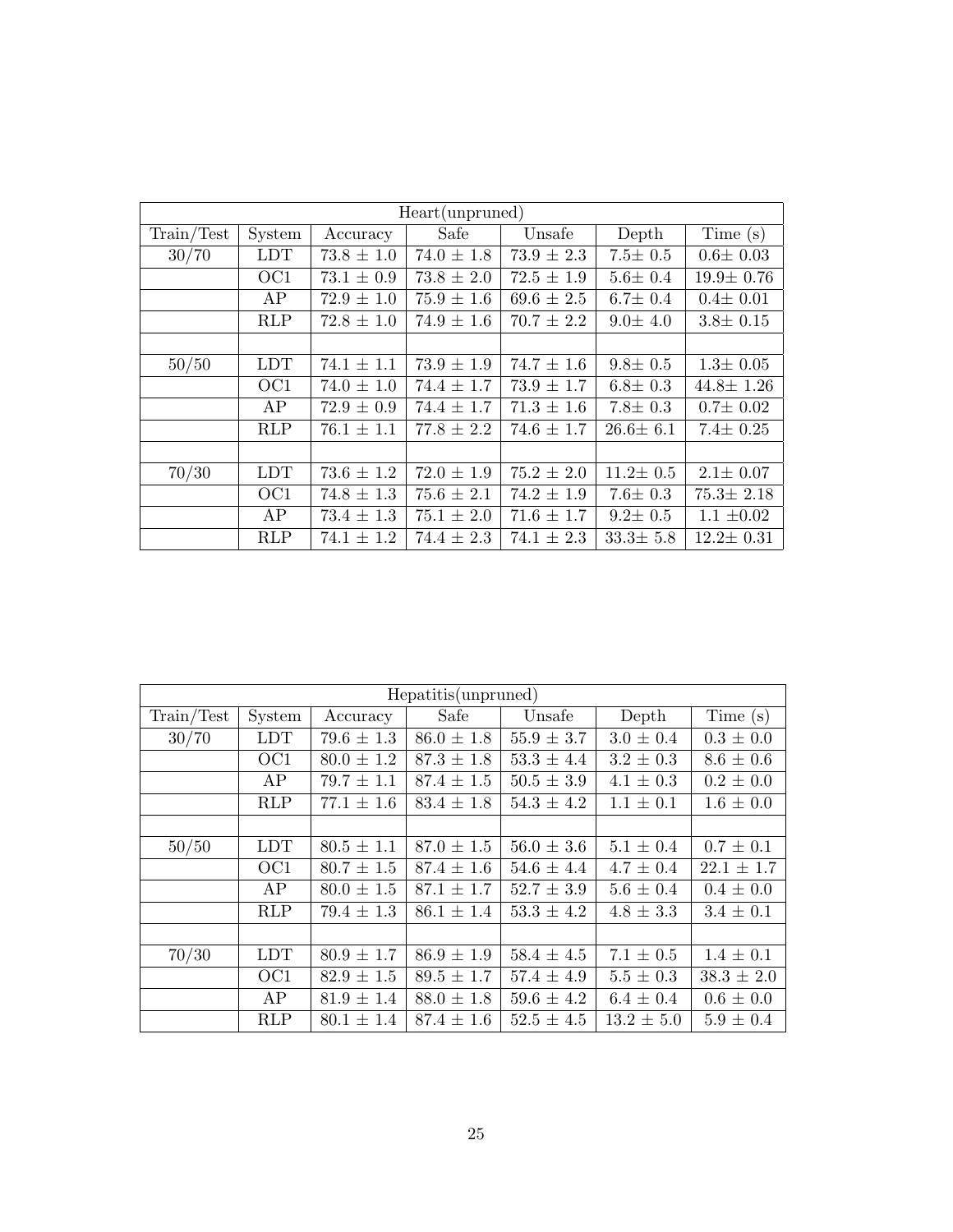| Heart(unpruned) |            |                |                |                |                |                 |  |  |  |
|-----------------|------------|----------------|----------------|----------------|----------------|-----------------|--|--|--|
| Train/Test      | System     | Accuracy       | Safe           | Unsafe         | Depth          | Time(s)         |  |  |  |
| 30/70           | <b>LDT</b> | $73.8 \pm 1.0$ | $74.0 \pm 1.8$ | $73.9 \pm 2.3$ | $7.5 \pm 0.5$  | $0.6 \pm 0.03$  |  |  |  |
|                 | OC1        | $73.1 \pm 0.9$ | $73.8 \pm 2.0$ | $72.5 \pm 1.9$ | $5.6 \pm 0.4$  | $19.9 \pm 0.76$ |  |  |  |
|                 | AP         | $72.9 \pm 1.0$ | $75.9 \pm 1.6$ | $69.6 \pm 2.5$ | $6.7 \pm 0.4$  | $0.4 \pm 0.01$  |  |  |  |
|                 | RLP        | $72.8 \pm 1.0$ | $74.9 \pm 1.6$ | $70.7 \pm 2.2$ | $9.0 \pm 4.0$  | $3.8 \pm 0.15$  |  |  |  |
|                 |            |                |                |                |                |                 |  |  |  |
| 50/50           | <b>LDT</b> | $74.1 \pm 1.1$ | $73.9 \pm 1.9$ | $74.7 \pm 1.6$ | $9.8 \pm 0.5$  | $1.3 \pm 0.05$  |  |  |  |
|                 | OC1        | $74.0 \pm 1.0$ | $74.4 \pm 1.7$ | $73.9 \pm 1.7$ | $6.8 \pm 0.3$  | $44.8 \pm 1.26$ |  |  |  |
|                 | AP         | $72.9 \pm 0.9$ | $74.4 \pm 1.7$ | $71.3 \pm 1.6$ | $7.8 \pm 0.3$  | $0.7 \pm 0.02$  |  |  |  |
|                 | <b>RLP</b> | $76.1 \pm 1.1$ | $77.8 \pm 2.2$ | $74.6 \pm 1.7$ | $26.6 \pm 6.1$ | $7.4 \pm 0.25$  |  |  |  |
|                 |            |                |                |                |                |                 |  |  |  |
| 70/30           | <b>LDT</b> | $73.6 \pm 1.2$ | $72.0 \pm 1.9$ | $75.2 \pm 2.0$ | $11.2 \pm 0.5$ | $2.1 \pm 0.07$  |  |  |  |
|                 | OC1        | $74.8 \pm 1.3$ | $75.6 \pm 2.1$ | $74.2 \pm 1.9$ | $7.6 \pm 0.3$  | $75.3 \pm 2.18$ |  |  |  |
|                 | AP         | $73.4 \pm 1.3$ | $75.1 \pm 2.0$ | $71.6 \pm 1.7$ | $9.2 \pm 0.5$  | $1.1 \pm 0.02$  |  |  |  |
|                 | <b>RLP</b> | $74.1 \pm 1.2$ | $74.4 \pm 2.3$ | $74.1 \pm 2.3$ | $33.3 \pm 5.8$ | $12.2 \pm 0.31$ |  |  |  |

|            | Hepatitis(unpruned) |                |                |                |                |                 |  |  |  |
|------------|---------------------|----------------|----------------|----------------|----------------|-----------------|--|--|--|
| Train/Test | System              | Accuracy       | Safe           | Unsafe         | Depth          | Time(s)         |  |  |  |
| 30/70      | <b>LDT</b>          | $79.6 \pm 1.3$ | $86.0 \pm 1.8$ | $55.9 \pm 3.7$ | $3.0 \pm 0.4$  | $0.3\,\pm\,0.0$ |  |  |  |
|            | OC <sub>1</sub>     | $80.0 \pm 1.2$ | $87.3 \pm 1.8$ | $53.3 \pm 4.4$ | $3.2 \pm 0.3$  | $8.6 \pm 0.6$   |  |  |  |
|            | AP                  | $79.7 \pm 1.1$ | $87.4 \pm 1.5$ | $50.5 \pm 3.9$ | $4.1 \pm 0.3$  | $0.2 \pm 0.0$   |  |  |  |
|            | RLP                 | $77.1 \pm 1.6$ | $83.4 \pm 1.8$ | $54.3 \pm 4.2$ | $1.1 \pm 0.1$  | $1.6 \pm 0.0$   |  |  |  |
|            |                     |                |                |                |                |                 |  |  |  |
| 50/50      | <b>LDT</b>          | $80.5 \pm 1.1$ | $87.0 \pm 1.5$ | $56.0 \pm 3.6$ | $5.1 \pm 0.4$  | $0.7 \pm 0.1$   |  |  |  |
|            | OC <sub>1</sub>     | $80.7 \pm 1.5$ | $87.4 \pm 1.6$ | $54.6 \pm 4.4$ | $4.7 \pm 0.4$  | $22.1 \pm 1.7$  |  |  |  |
|            | AP                  | $80.0 \pm 1.5$ | $87.1 \pm 1.7$ | $52.7 \pm 3.9$ | $5.6 \pm 0.4$  | $0.4 \pm 0.0$   |  |  |  |
|            | <b>RLP</b>          | $79.4 \pm 1.3$ | $86.1 \pm 1.4$ | $53.3 \pm 4.2$ | $4.8 \pm 3.3$  | $3.4 \pm 0.1$   |  |  |  |
|            |                     |                |                |                |                |                 |  |  |  |
| 70/30      | <b>LDT</b>          | $80.9 \pm 1.7$ | $86.9 \pm 1.9$ | $58.4 \pm 4.5$ | $7.1 \pm 0.5$  | $1.4 \pm 0.1$   |  |  |  |
|            | OC <sub>1</sub>     | $82.9 \pm 1.5$ | $89.5 \pm 1.7$ | $57.4 \pm 4.9$ | $5.5 \pm 0.3$  | $38.3 \pm 2.0$  |  |  |  |
|            | AP                  | $81.9 \pm 1.4$ | $88.0 \pm 1.8$ | $59.6 \pm 4.2$ | $6.4 \pm 0.4$  | $0.6 \pm 0.0$   |  |  |  |
|            | <b>RLP</b>          | $80.1 \pm 1.4$ | $87.4 \pm 1.6$ | $52.5 \pm 4.5$ | $13.2 \pm 5.0$ | $5.9 \pm 0.4$   |  |  |  |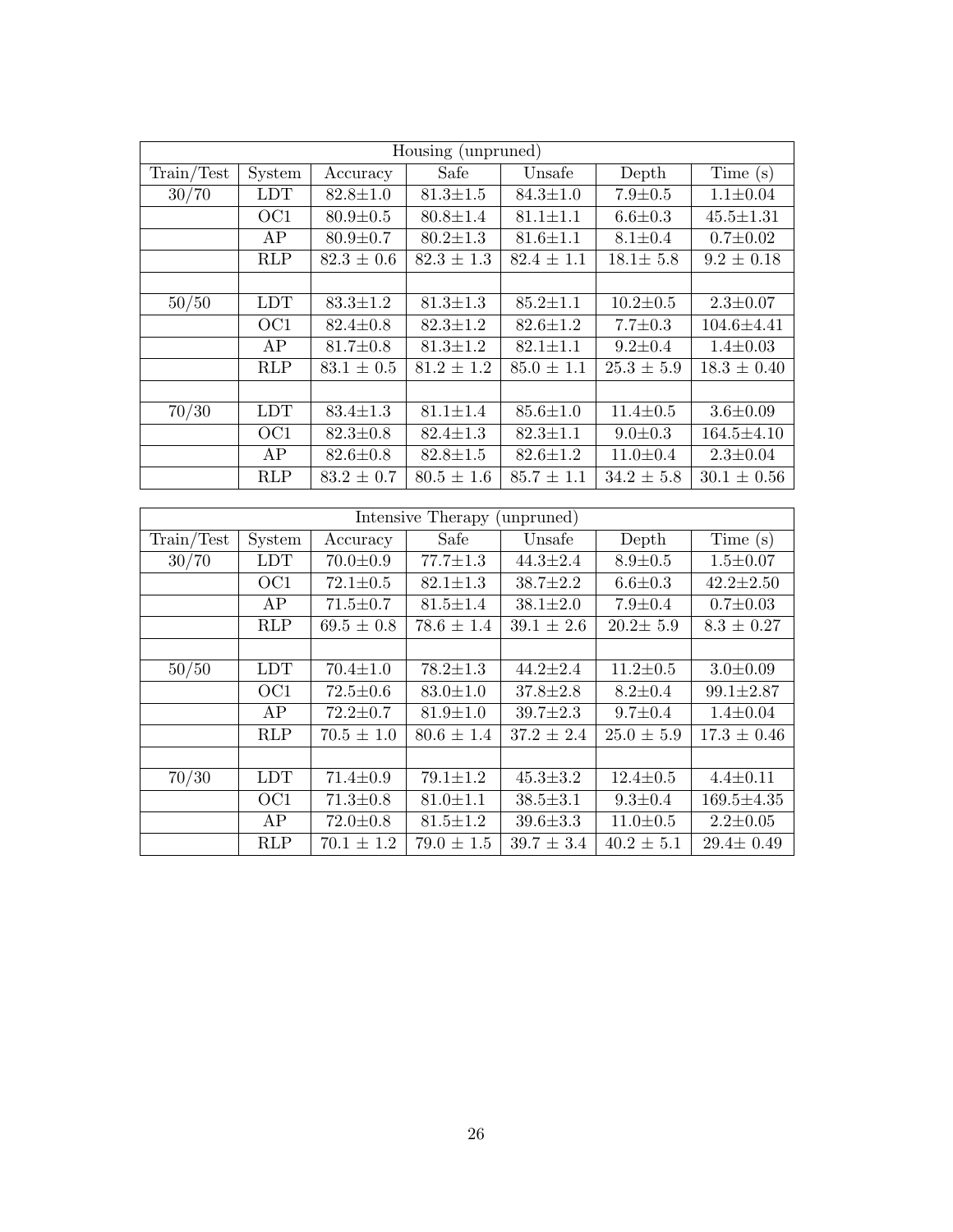| Housing (unpruned) |                  |                |                           |                |                           |                   |  |  |
|--------------------|------------------|----------------|---------------------------|----------------|---------------------------|-------------------|--|--|
| Train/Test         | System           | Accuracy       | Safe                      | Unsafe         | Depth                     | Time(s)           |  |  |
| 30/70              | <b>LDT</b>       | $82.8 \pm 1.0$ | $\overline{81.3{\pm}1.5}$ | $84.3 \pm 1.0$ | $7.9 \pm 0.5$             | $1.1 \pm 0.04$    |  |  |
|                    | OC1              | $80.9 \pm 0.5$ | $80.8 \pm 1.4$            | $81.1 \pm 1.1$ | $6.6 \pm 0.3$             | $45.5 \pm 1.31$   |  |  |
|                    | $\overline{AP}$  | $80.9 \pm 0.7$ | $80.2 \pm 1.3$            | $81.6 \pm 1.1$ | $8.1 \pm 0.4$             | $0.7 \pm 0.02$    |  |  |
|                    | RLP              | $82.3 \pm 0.6$ | $82.3 \pm 1.3$            | $82.4 \pm 1.1$ | $18.1 \pm 5.8$            | $9.2 \pm 0.18$    |  |  |
|                    |                  |                |                           |                |                           |                   |  |  |
| 50/50              | <b>LDT</b>       | $83.3 \pm 1.2$ | $81.3 \pm 1.3$            | $85.2 \pm 1.1$ | $10.2 \pm 0.5$            | $2.3 \pm 0.07$    |  |  |
|                    | OC1              | $82.4 \pm 0.8$ | $82.3 \pm 1.2$            | $82.6 \pm 1.2$ | $7.7 \pm 0.3$             | 104.6±4.41        |  |  |
|                    | AP               | $81.7 \pm 0.8$ | $81.3 \pm 1.2$            | $82.1 \pm 1.1$ | $9.2 \pm 0.4$             | $1.4 \pm 0.03$    |  |  |
|                    | RLP              | $83.1 \pm 0.5$ | $\frac{1}{81.2 \pm 1.2}$  | $85.0 \pm 1.1$ | $\overline{25.3 \pm 5.9}$ | $18.3 \pm 0.40$   |  |  |
|                    |                  |                |                           |                |                           |                   |  |  |
| $\sqrt{70/30}$     | <b>LDT</b>       | $83.4 \pm 1.3$ | $81.1 \pm 1.4$            | $85.6 \pm 1.0$ | $11.4 \pm 0.5$            | $3.6 + 0.09$      |  |  |
|                    | $\overline{OC1}$ | $82.3 \pm 0.8$ | $82.4 \pm 1.3$            | $82.3 \pm 1.1$ | $9.0 + 0.3$               | $164.5 \pm 4.10$  |  |  |
|                    | ${\rm AP}$       | $82.6 \pm 0.8$ | $82.8 \pm 1.5$            | $82.6 \pm 1.2$ | $11.0 \pm 0.4$            | $2.3 \pm 0.04$    |  |  |
|                    | RLP              | $83.2 \pm 0.7$ | $80.5 \pm 1.6$            | $85.7 \pm 1.1$ | $34.2 \pm 5.8$            | $30.1\,\pm\,0.56$ |  |  |
|                    |                  |                |                           |                |                           |                   |  |  |
|                    |                  |                | Intensive Therapy         | (unpruned)     |                           |                   |  |  |
| Train/Test         | System           | Accuracy       | Safe                      | Unsafe         | Depth                     | Time(s)           |  |  |
| 30/70              | <b>LDT</b>       | $70.0 \pm 0.9$ | $77.7 \pm 1.3$            | $44.3 \pm 2.4$ | $8.9 + 0.5$               | $1.5 \pm 0.07$    |  |  |
|                    | $\overline{OC1}$ | $72.1 \pm 0.5$ | $82.1 \pm 1.3$            | $38.7 \pm 2.2$ | $6.6 + 0.3$               | $42.2 \pm 2.50$   |  |  |
|                    | $\overline{AP}$  | $71.5 \pm 0.7$ | $81.5 \pm 1.4$            | $38.1 \pm 2.0$ | $7.9 \pm 0.4$             | $0.7 \pm 0.03$    |  |  |
|                    | RLP              | $69.5 \pm 0.8$ | $78.6 \pm 1.4$            | $39.1 \pm 2.6$ | $20.2 \pm 5.9$            | $8.3 \pm 0.27$    |  |  |
|                    |                  |                |                           |                |                           |                   |  |  |
| $\frac{50}{50}$    | <b>LDT</b>       | $70.4 \pm 1.0$ | $78.2 \pm 1.3$            | $44.2 \pm 2.4$ | $11.2 \pm 0.5$            | $3.0 \pm 0.09$    |  |  |
|                    | OC1              | $72.5 \pm 0.6$ | $83.0 \pm 1.0$            | $37.8 \pm 2.8$ | $8.2{\pm}0.4$             | $99.1 \pm 2.87$   |  |  |
|                    | $\overline{AP}$  | $72.2 \pm 0.7$ | $81.9 \pm 1.0$            | $39.7 \pm 2.3$ | $9.7 \pm 0.4$             | $1.4 \pm 0.04$    |  |  |
|                    | RLP              | $70.5 \pm 1.0$ | $80.6 \pm 1.4$            | $37.2 \pm 2.4$ | $25.0 \pm 5.9$            | $17.3 \pm 0.46$   |  |  |
|                    |                  |                |                           |                |                           |                   |  |  |
| 70/30              | <b>LDT</b>       | $71.4 \pm 0.9$ | $79.1 \pm 1.2$            | $45.3 \pm 3.2$ | $12.4 \pm 0.5$            | $4.4 + 0.11$      |  |  |
|                    | OC1              | $71.3 \pm 0.8$ | $81.0 \pm 1.1$            | $38.5{\pm}3.1$ | $9.3 \pm 0.4$             | $169.5 \pm 4.35$  |  |  |
|                    | AP               | $72.0 \pm 0.8$ | $81.5 \pm 1.2$            | $39.6 + 3.3$   | $11.0 \pm 0.5$            | $2.2 \pm 0.05$    |  |  |
|                    | $\overline{RLP}$ | $70.1 \pm 1.2$ | $79.0 \pm \overline{1.5}$ | $39.7 \pm 3.4$ | $40.2 \pm 5.1$            | $29.4 \pm 0.49$   |  |  |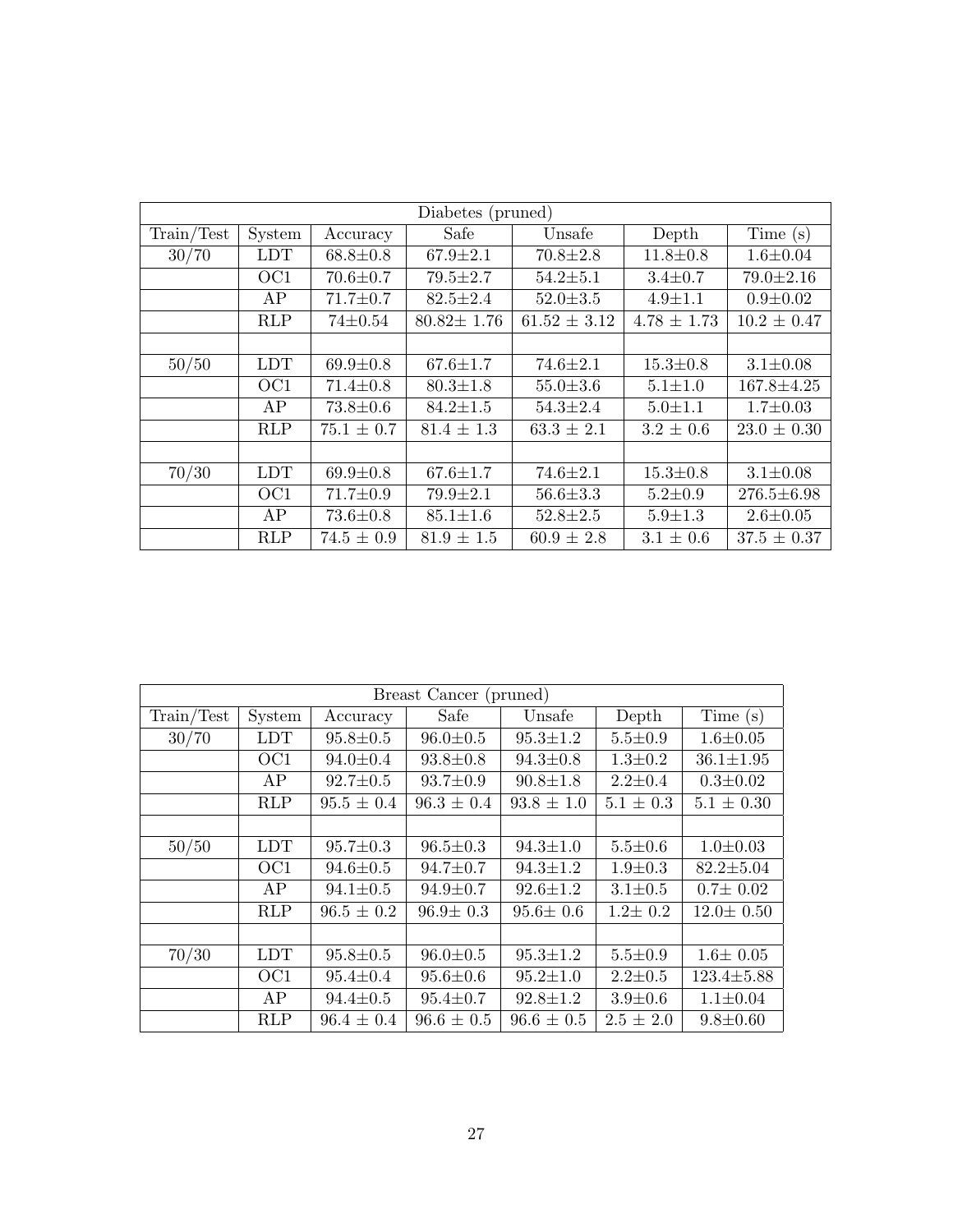| Diabetes (pruned) |            |                |                  |                  |                 |                  |  |  |  |  |
|-------------------|------------|----------------|------------------|------------------|-----------------|------------------|--|--|--|--|
| Train/Test        | System     | Accuracy       | Safe             | Unsafe           | Depth           | Time $(s)$       |  |  |  |  |
| 30/70             | <b>LDT</b> | $68.8 \pm 0.8$ | $67.9 \pm 2.1$   | $70.8 \pm 2.8$   | $11.8 \pm 0.8$  | $1.6 \pm 0.04$   |  |  |  |  |
|                   | OC1        | $70.6 \pm 0.7$ | $79.5 \pm 2.7$   | $54.2 \pm 5.1$   | $3.4 + 0.7$     | $79.0 \pm 2.16$  |  |  |  |  |
|                   | AP         | $71.7 \pm 0.7$ | $82.5 \pm 2.4$   | $52.0 \pm 3.5$   | $4.9 \pm 1.1$   | $0.9 + 0.02$     |  |  |  |  |
|                   | <b>RLP</b> | $74 \pm 0.54$  | $80.82 \pm 1.76$ | $61.52 \pm 3.12$ | $4.78 \pm 1.73$ | $10.2 \pm 0.47$  |  |  |  |  |
|                   |            |                |                  |                  |                 |                  |  |  |  |  |
| 50/50             | <b>LDT</b> | $69.9 \pm 0.8$ | $67.6 \pm 1.7$   | $74.6 \pm 2.1$   | $15.3 \pm 0.8$  | $3.1 \pm 0.08$   |  |  |  |  |
|                   | OC1        | $71.4 \pm 0.8$ | $80.3 \pm 1.8$   | $55.0 \pm 3.6$   | $5.1 + 1.0$     | $167.8 \pm 4.25$ |  |  |  |  |
|                   | AP         | $73.8 \pm 0.6$ | $84.2 \pm 1.5$   | $54.3 \pm 2.4$   | $5.0 \pm 1.1$   | $1.7 \pm 0.03$   |  |  |  |  |
|                   | <b>RLP</b> | $75.1 \pm 0.7$ | $81.4 \pm 1.3$   | $63.3 \pm 2.1$   | $3.2 \pm 0.6$   | $23.0 \pm 0.30$  |  |  |  |  |
|                   |            |                |                  |                  |                 |                  |  |  |  |  |
| 70/30             | <b>LDT</b> | $69.9 \pm 0.8$ | $67.6 \pm 1.7$   | $74.6 \pm 2.1$   | $15.3 \pm 0.8$  | $3.1 \pm 0.08$   |  |  |  |  |
|                   | OC1        | $71.7 \pm 0.9$ | $79.9 \pm 2.1$   | $56.6 \pm 3.3$   | $5.2 \pm 0.9$   | $276.5 \pm 6.98$ |  |  |  |  |
|                   | AP         | $73.6 \pm 0.8$ | $85.1 \pm 1.6$   | $52.8 \pm 2.5$   | $5.9 \pm 1.3$   | $2.6 \pm 0.05$   |  |  |  |  |
|                   | <b>RLP</b> | $74.5 \pm 0.9$ | $81.9 \pm 1.5$   | $60.9 \pm 2.8$   | $3.1 \pm 0.6$   | $37.5 \pm 0.37$  |  |  |  |  |

| Breast Cancer (pruned) |                 |                |                |                |               |                  |  |  |
|------------------------|-----------------|----------------|----------------|----------------|---------------|------------------|--|--|
| Train/Test             | System          | Accuracy       | Safe           | Unsafe         | Depth         | Time $(s)$       |  |  |
| 30/70                  | <b>LDT</b>      | $95.8 \pm 0.5$ | $96.0 \pm 0.5$ | $95.3 \pm 1.2$ | $5.5 \pm 0.9$ | $1.6 \pm 0.05$   |  |  |
|                        | OC1             | $94.0 \pm 0.4$ | $93.8 \pm 0.8$ | $94.3 \pm 0.8$ | $1.3 \pm 0.2$ | $36.1 \pm 1.95$  |  |  |
|                        | AP              | $92.7 \pm 0.5$ | $93.7 \pm 0.9$ | $90.8 \pm 1.8$ | $2.2 \pm 0.4$ | $0.3 \pm 0.02$   |  |  |
|                        | <b>RLP</b>      | $95.5 \pm 0.4$ | $96.3 \pm 0.4$ | $93.8 \pm 1.0$ | $5.1 \pm 0.3$ | $5.1 \pm 0.30$   |  |  |
|                        |                 |                |                |                |               |                  |  |  |
| 50/50                  | <b>LDT</b>      | $95.7 \pm 0.3$ | $96.5 \pm 0.3$ | $94.3 \pm 1.0$ | $5.5 \pm 0.6$ | $1.0 \pm 0.03$   |  |  |
|                        | OC <sub>1</sub> | $94.6 \pm 0.5$ | $94.7 \pm 0.7$ | $94.3 \pm 1.2$ | $1.9 \pm 0.3$ | $82.2 \pm 5.04$  |  |  |
|                        | AP              | $94.1 \pm 0.5$ | $94.9 \pm 0.7$ | $92.6 \pm 1.2$ | $3.1 \pm 0.5$ | $0.7 \pm 0.02$   |  |  |
|                        | <b>RLP</b>      | $96.5 \pm 0.2$ | $96.9 \pm 0.3$ | $95.6 \pm 0.6$ | $1.2 \pm 0.2$ | $12.0 \pm 0.50$  |  |  |
|                        |                 |                |                |                |               |                  |  |  |
| 70/30                  | <b>LDT</b>      | $95.8 \pm 0.5$ | $96.0 \pm 0.5$ | $95.3 \pm 1.2$ | $5.5 \pm 0.9$ | $1.6 \pm 0.05$   |  |  |
|                        | OC <sub>1</sub> | $95.4 \pm 0.4$ | $95.6 \pm 0.6$ | $95.2 \pm 1.0$ | $2.2 \pm 0.5$ | $123.4 \pm 5.88$ |  |  |
|                        | AP              | $94.4 \pm 0.5$ | $95.4 \pm 0.7$ | $92.8 \pm 1.2$ | $3.9 + 0.6$   | $1.1 \pm 0.04$   |  |  |
|                        | <b>RLP</b>      | $96.4 \pm 0.4$ | $96.6 \pm 0.5$ | $96.6 \pm 0.5$ | $2.5 \pm 2.0$ | $9.8 \pm 0.60$   |  |  |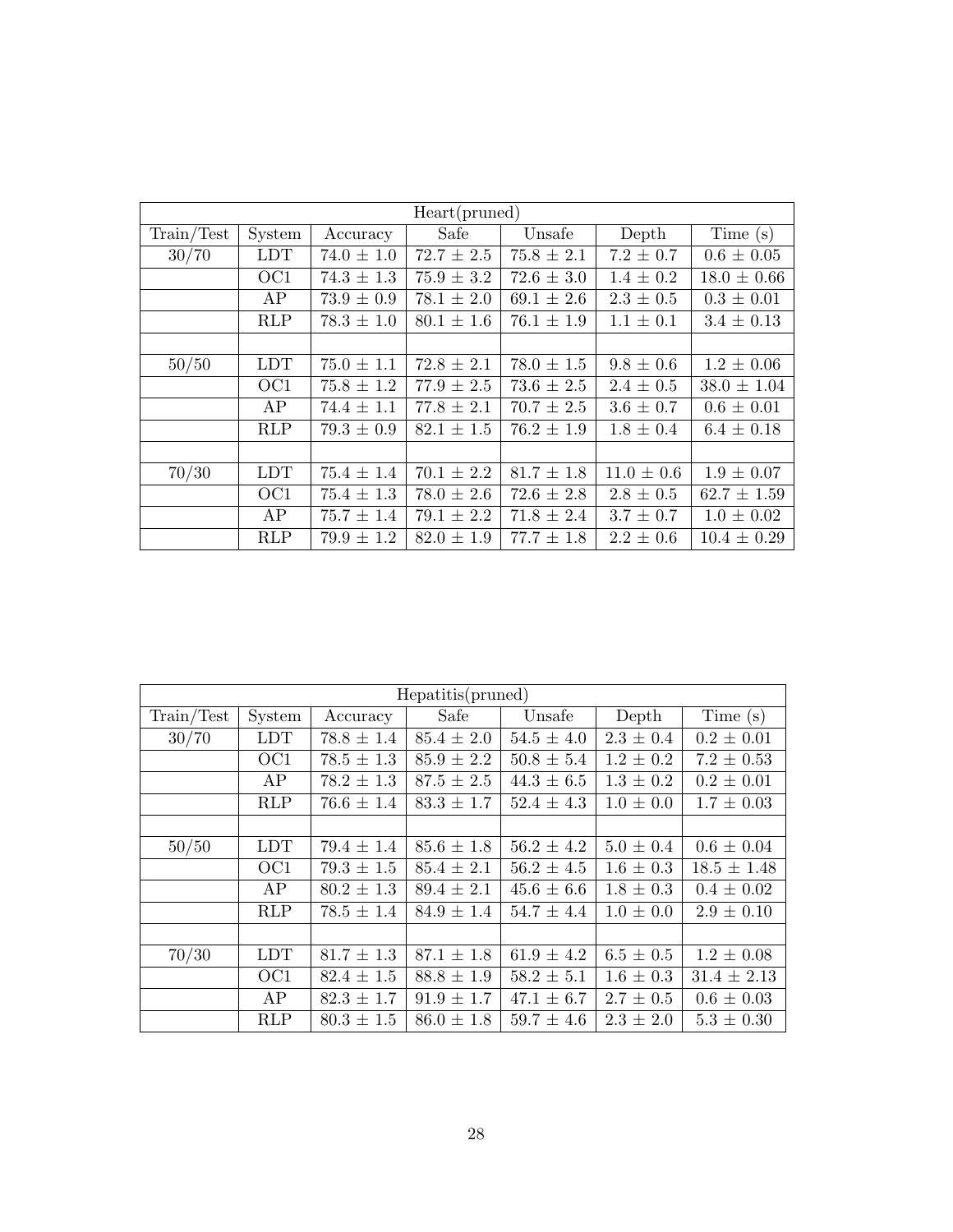| Heart(pruned) |                 |                |                |                |                |                 |  |
|---------------|-----------------|----------------|----------------|----------------|----------------|-----------------|--|
| Train/Test    | System          | Accuracy       | Safe           | Unsafe         | Depth          | Time $(s)$      |  |
| 30/70         | <b>LDT</b>      | $74.0 \pm 1.0$ | $72.7 \pm 2.5$ | $75.8 \pm 2.1$ | $7.2 \pm 0.7$  | $0.6 \pm 0.05$  |  |
|               | OC1             | $74.3 \pm 1.3$ | $75.9 \pm 3.2$ | $72.6 \pm 3.0$ | $1.4 \pm 0.2$  | $18.0 \pm 0.66$ |  |
|               | AP              | $73.9 \pm 0.9$ | $78.1 \pm 2.0$ | $69.1 \pm 2.6$ | $2.3 \pm 0.5$  | $0.3 \pm 0.01$  |  |
|               | <b>RLP</b>      | $78.3 \pm 1.0$ | $80.1 \pm 1.6$ | $76.1 \pm 1.9$ | $1.1 \pm 0.1$  | $3.4 \pm 0.13$  |  |
|               |                 |                |                |                |                |                 |  |
| 50/50         | <b>LDT</b>      | $75.0 \pm 1.1$ | $72.8 \pm 2.1$ | $78.0 \pm 1.5$ | $9.8 \pm 0.6$  | $1.2 \pm 0.06$  |  |
|               | OC <sub>1</sub> | $75.8 \pm 1.2$ | $77.9 \pm 2.5$ | $73.6 \pm 2.5$ | $2.4 \pm 0.5$  | $38.0 \pm 1.04$ |  |
|               | AP              | $74.4 \pm 1.1$ | $77.8 \pm 2.1$ | $70.7 \pm 2.5$ | $3.6 \pm 0.7$  | $0.6 \pm 0.01$  |  |
|               | <b>RLP</b>      | $79.3 \pm 0.9$ | $82.1 \pm 1.5$ | $76.2 \pm 1.9$ | $1.8 \pm 0.4$  | $6.4 \pm 0.18$  |  |
|               |                 |                |                |                |                |                 |  |
| 70/30         | <b>LDT</b>      | $75.4 \pm 1.4$ | $70.1 \pm 2.2$ | $81.7 \pm 1.8$ | $11.0 \pm 0.6$ | $1.9 \pm 0.07$  |  |
|               | OC <sub>1</sub> | $75.4 \pm 1.3$ | $78.0 \pm 2.6$ | $72.6 \pm 2.8$ | $2.8 \pm 0.5$  | $62.7 \pm 1.59$ |  |
|               | AP              | $75.7 \pm 1.4$ | $79.1 \pm 2.2$ | $71.8 \pm 2.4$ | $3.7 \pm 0.7$  | $1.0 \pm 0.02$  |  |
|               | <b>RLP</b>      | $79.9 \pm 1.2$ | $82.0 \pm 1.9$ | $77.7 \pm 1.8$ | $2.2 \pm 0.6$  | $10.4 \pm 0.29$ |  |

| Hepatitis(pruned) |                 |                |                |                |               |                 |  |
|-------------------|-----------------|----------------|----------------|----------------|---------------|-----------------|--|
| Train/Test        | System          | Accuracy       | Safe           | Unsafe         | Depth         | Time(s)         |  |
| 30/70             | <b>LDT</b>      | $78.8 \pm 1.4$ | $85.4 \pm 2.0$ | $54.5 \pm 4.0$ | $2.3 \pm 0.4$ | $0.2 \pm 0.01$  |  |
|                   | OC <sub>1</sub> | $78.5 \pm 1.3$ | $85.9 \pm 2.2$ | $50.8 \pm 5.4$ | $1.2 \pm 0.2$ | $7.2 \pm 0.53$  |  |
|                   | AP              | $78.2 \pm 1.3$ | $87.5 \pm 2.5$ | $44.3 \pm 6.5$ | $1.3 \pm 0.2$ | $0.2 \pm 0.01$  |  |
|                   | <b>RLP</b>      | $76.6 \pm 1.4$ | $83.3 \pm 1.7$ | $52.4 \pm 4.3$ | $1.0 \pm 0.0$ | $1.7 \pm 0.03$  |  |
|                   |                 |                |                |                |               |                 |  |
| 50/50             | <b>LDT</b>      | $79.4 \pm 1.4$ | $85.6 \pm 1.8$ | $56.2 \pm 4.2$ | $5.0 \pm 0.4$ | $0.6 \pm 0.04$  |  |
|                   | OC <sub>1</sub> | $79.3 \pm 1.5$ | $85.4 \pm 2.1$ | $56.2 \pm 4.5$ | $1.6 \pm 0.3$ | $18.5 \pm 1.48$ |  |
|                   | AP              | $80.2 \pm 1.3$ | $89.4 \pm 2.1$ | $45.6 \pm 6.6$ | $1.8 \pm 0.3$ | $0.4 \pm 0.02$  |  |
|                   | <b>RLP</b>      | $78.5 \pm 1.4$ | $84.9 \pm 1.4$ | $54.7 \pm 4.4$ | $1.0 \pm 0.0$ | $2.9 \pm 0.10$  |  |
|                   |                 |                |                |                |               |                 |  |
| 70/30             | <b>LDT</b>      | $81.7 \pm 1.3$ | $87.1 \pm 1.8$ | $61.9 \pm 4.2$ | $6.5 \pm 0.5$ | $1.2 \pm 0.08$  |  |
|                   | OC <sub>1</sub> | $82.4 \pm 1.5$ | $88.8 \pm 1.9$ | $58.2 \pm 5.1$ | $1.6 \pm 0.3$ | $31.4 \pm 2.13$ |  |
|                   | AP              | $82.3 \pm 1.7$ | $91.9 \pm 1.7$ | $47.1 \pm 6.7$ | $2.7 \pm 0.5$ | $0.6 \pm 0.03$  |  |
|                   | <b>RLP</b>      | $80.3 \pm 1.5$ | $86.0 \pm 1.8$ | $59.7 \pm 4.6$ | $2.3 \pm 2.0$ | $5.3 \pm 0.30$  |  |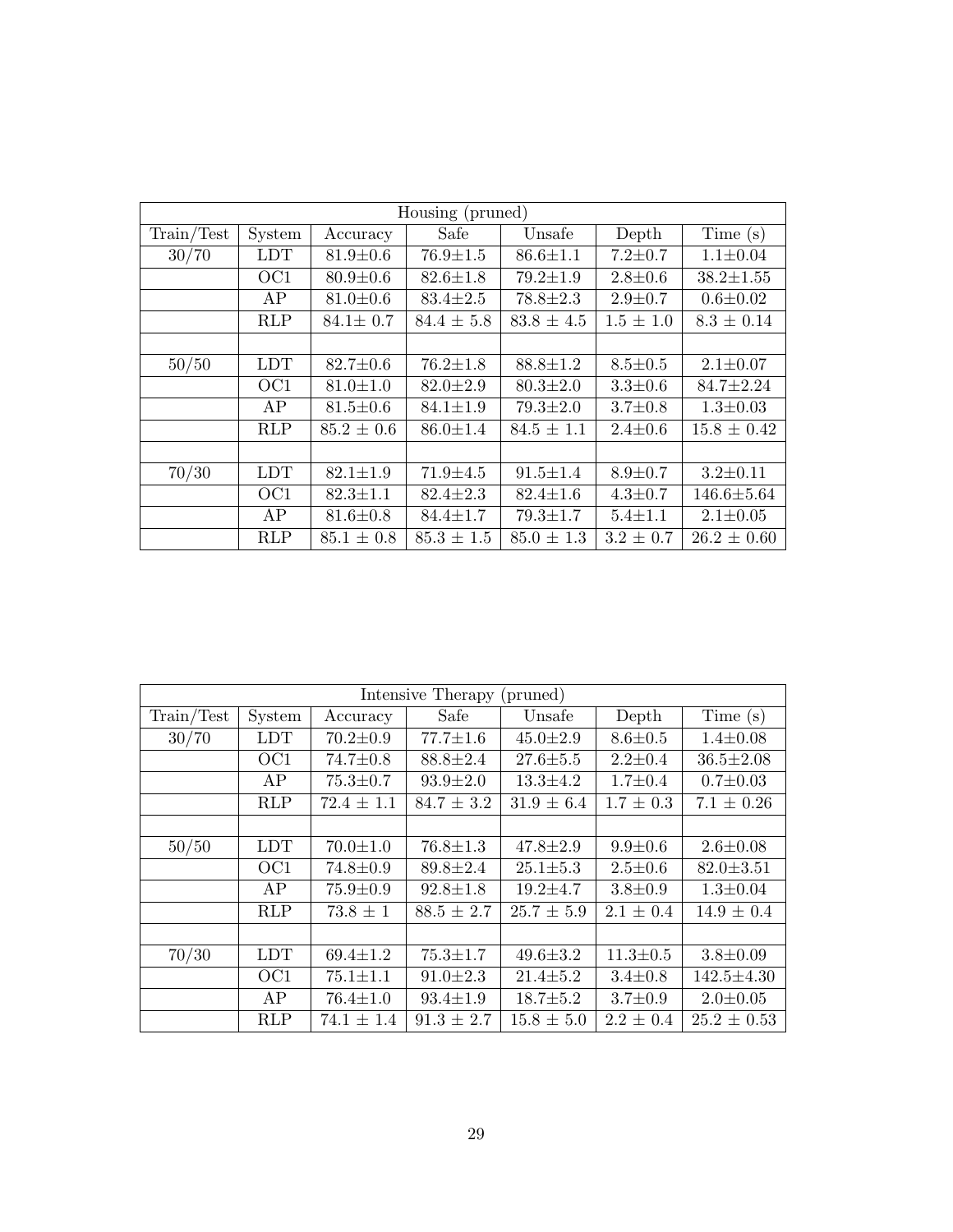| Housing (pruned) |                 |                |                |                |               |                  |  |
|------------------|-----------------|----------------|----------------|----------------|---------------|------------------|--|
| Train/Test       | System          | Accuracy       | Safe           | Unsafe         | Depth         | Time(s)          |  |
| 30/70            | <b>LDT</b>      | $81.9 \pm 0.6$ | $76.9 \pm 1.5$ | $86.6 \pm 1.1$ | $7.2 \pm 0.7$ | $1.1 \pm 0.04$   |  |
|                  | OC <sub>1</sub> | $80.9 \pm 0.6$ | $82.6 \pm 1.8$ | $79.2 \pm 1.9$ | $2.8 + 0.6$   | $38.2 \pm 1.55$  |  |
|                  | AP              | $81.0 \pm 0.6$ | $83.4 \pm 2.5$ | $78.8 \pm 2.3$ | $2.9 \pm 0.7$ | $0.6 \pm 0.02$   |  |
|                  | <b>RLP</b>      | $84.1 \pm 0.7$ | $84.4 \pm 5.8$ | $83.8 \pm 4.5$ | $1.5 \pm 1.0$ | $8.3 \pm 0.14$   |  |
|                  |                 |                |                |                |               |                  |  |
| 50/50            | <b>LDT</b>      | $82.7 \pm 0.6$ | $76.2 \pm 1.8$ | $88.8 \pm 1.2$ | $8.5 \pm 0.5$ | $2.1 \pm 0.07$   |  |
|                  | OC <sub>1</sub> | $81.0 \pm 1.0$ | $82.0 \pm 2.9$ | $80.3 \pm 2.0$ | $3.3 \pm 0.6$ | $84.7 \pm 2.24$  |  |
|                  | AP              | $81.5 \pm 0.6$ | $84.1 \pm 1.9$ | $79.3 \pm 2.0$ | $3.7 \pm 0.8$ | $1.3 \pm 0.03$   |  |
|                  | <b>RLP</b>      | $85.2 \pm 0.6$ | $86.0 \pm 1.4$ | $84.5 \pm 1.1$ | $2.4 \pm 0.6$ | $15.8 \pm 0.42$  |  |
|                  |                 |                |                |                |               |                  |  |
| 70/30            | LDT             | $82.1 \pm 1.9$ | $71.9 \pm 4.5$ | $91.5 \pm 1.4$ | $8.9 + 0.7$   | $3.2 \pm 0.11$   |  |
|                  | OC <sub>1</sub> | $82.3 \pm 1.1$ | $82.4 \pm 2.3$ | $82.4 \pm 1.6$ | $4.3 \pm 0.7$ | $146.6 \pm 5.64$ |  |
|                  | AP              | $81.6 \pm 0.8$ | $84.4 \pm 1.7$ | $79.3 \pm 1.7$ | $5.4 \pm 1.1$ | $2.1 \pm 0.05$   |  |
|                  | <b>RLP</b>      | $85.1 \pm 0.8$ | $85.3 \pm 1.5$ | $85.0 \pm 1.3$ | $3.2 \pm 0.7$ | $26.2 \pm 0.60$  |  |

| Intensive Therapy<br>(pruned) |                 |                |                |                |                |                  |
|-------------------------------|-----------------|----------------|----------------|----------------|----------------|------------------|
| Train/Test                    | System          | Accuracy       | Safe           | Unsafe         | Depth          | Time(s)          |
| 30/70                         | <b>LDT</b>      | $70.2 \pm 0.9$ | $77.7 \pm 1.6$ | $45.0 \pm 2.9$ | $8.6 + 0.5$    | $1.4 \pm 0.08$   |
|                               | OC <sub>1</sub> | $74.7 \pm 0.8$ | $88.8 \pm 2.4$ | $27.6 + 5.5$   | $2.2 \pm 0.4$  | $36.5 \pm 2.08$  |
|                               | AP              | $75.3 \pm 0.7$ | $93.9 \pm 2.0$ | $13.3 \pm 4.2$ | $1.7 \pm 0.4$  | $0.7 \pm 0.03$   |
|                               | RLP             | $72.4 \pm 1.1$ | $84.7 \pm 3.2$ | $31.9 \pm 6.4$ | $1.7 \pm 0.3$  | $7.1 \pm 0.26$   |
|                               |                 |                |                |                |                |                  |
| 50/50                         | <b>LDT</b>      | $70.0 \pm 1.0$ | $76.8 \pm 1.3$ | $47.8 \pm 2.9$ | $9.9 \pm 0.6$  | $2.6 \pm 0.08$   |
|                               | OC <sub>1</sub> | $74.8 \pm 0.9$ | $89.8 \pm 2.4$ | $25.1 \pm 5.3$ | $2.5 \pm 0.6$  | $82.0 \pm 3.51$  |
|                               | AP              | $75.9 \pm 0.9$ | $92.8 \pm 1.8$ | $19.2 \pm 4.7$ | $3.8 + 0.9$    | $1.3 \pm 0.04$   |
|                               | <b>RLP</b>      | $73.8 \pm 1$   | $88.5 \pm 2.7$ | $25.7 \pm 5.9$ | $2.1 \pm 0.4$  | $14.9 \pm 0.4$   |
|                               |                 |                |                |                |                |                  |
| 70/30                         | <b>LDT</b>      | $69.4 \pm 1.2$ | $75.3 \pm 1.7$ | $49.6 \pm 3.2$ | $11.3 \pm 0.5$ | $3.8 \pm 0.09$   |
|                               | OC <sub>1</sub> | $75.1 \pm 1.1$ | $91.0 \pm 2.3$ | $21.4 \pm 5.2$ | $3.4 \pm 0.8$  | $142.5 \pm 4.30$ |
|                               | AP              | $76.4 \pm 1.0$ | $93.4 \pm 1.9$ | $18.7 \pm 5.2$ | $3.7 \pm 0.9$  | $2.0 \pm 0.05$   |
|                               | <b>RLP</b>      | $74.1 \pm 1.4$ | $91.3 \pm 2.7$ | $15.8 \pm 5.0$ | $2.2 \pm 0.4$  | $25.2 \pm 0.53$  |